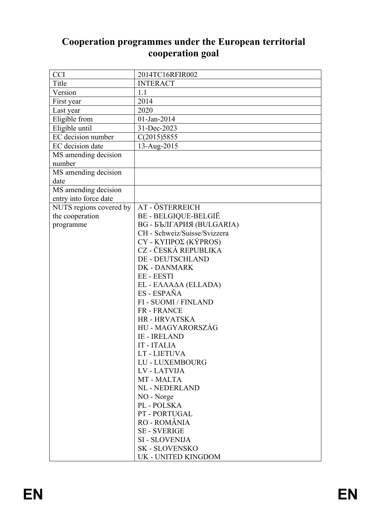# **Cooperation programmes under the European territorial cooperation goal**

| <b>CCI</b>              | 2014TC16RFIR002              |
|-------------------------|------------------------------|
| Title                   | <b>INTERACT</b>              |
| Version                 | 1.1                          |
| First year              | 2014                         |
| Last year               | 2020                         |
| Eligible from           | 01-Jan-2014                  |
| Eligible until          | 31-Dec-2023                  |
| EC decision number      | C(2015)5855                  |
| EC decision date        | 13-Aug-2015                  |
| MS amending decision    |                              |
| number                  |                              |
| MS amending decision    |                              |
| date                    |                              |
| MS amending decision    |                              |
| entry into force date   |                              |
| NUTS regions covered by | AT - ÖSTERREICH              |
| the cooperation         | BE - BELGIQUE-BELGIË         |
| programme               | ВG - БЪЛГАРИЯ (BULGARIA)     |
|                         | CH - Schweiz/Suisse/Svizzera |
|                         | CY - ΚΥΠΡΟΣ (ΚÝPROS)         |
|                         | CZ - ČESKÁ REPUBLIKA         |
|                         | <b>DE - DEUTSCHLAND</b>      |
|                         | <b>DK-DANMARK</b>            |
|                         | EE - EESTI                   |
|                         | EL - ΕΛΛΑΔΑ (ELLADA)         |
|                         | ES - ESPAÑA                  |
|                         | FI - SUOMI / FINLAND         |
|                         | <b>FR-FRANCE</b>             |
|                         | <b>HR-HRVATSKA</b>           |
|                         | HU - MAGYARORSZÁG            |
|                         | <b>IE - IRELAND</b>          |
|                         | <b>IT-ITALIA</b>             |
|                         | LT - LIETUVA                 |
|                         | LU - LUXEMBOURG              |
|                         | <b>LV-LATVIJA</b>            |
|                         | MT - MALTA                   |
|                         | <b>NL - NEDERLAND</b>        |
|                         | NO - Norge                   |
|                         | PL - POLSKA<br>PT-PORTUGAL   |
|                         | RO - ROMÂNIA                 |
|                         | <b>SE - SVERIGE</b>          |
|                         | <b>SI - SLOVENIJA</b>        |
|                         | <b>SK-SLOVENSKO</b>          |
|                         |                              |
|                         | UK - UNITED KINGDOM          |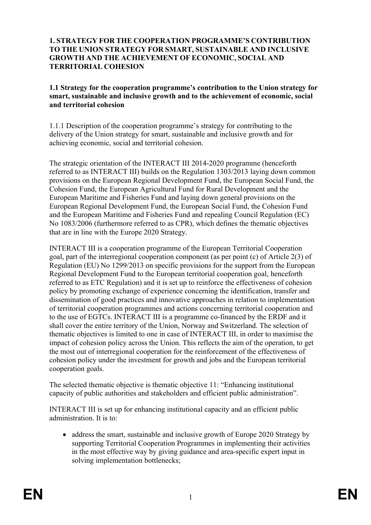#### **1. STRATEGY FOR THE COOPERATION PROGRAMME'S CONTRIBUTION TO THE UNION STRATEGY FOR SMART, SUSTAINABLE AND INCLUSIVE GROWTH AND THE ACHIEVEMENT OF ECONOMIC, SOCIAL AND TERRITORIAL COHESION**

#### **1.1 Strategy for the cooperation programme's contribution to the Union strategy for smart, sustainable and inclusive growth and to the achievement of economic, social and territorial cohesion**

1.1.1 Description of the cooperation programme's strategy for contributing to the delivery of the Union strategy for smart, sustainable and inclusive growth and for achieving economic, social and territorial cohesion.

The strategic orientation of the INTERACT III 2014-2020 programme (henceforth referred to as INTERACT III) builds on the Regulation 1303/2013 laying down common provisions on the European Regional Development Fund, the European Social Fund, the Cohesion Fund, the European Agricultural Fund for Rural Development and the European Maritime and Fisheries Fund and laying down general provisions on the European Regional Development Fund, the European Social Fund, the Cohesion Fund and the European Maritime and Fisheries Fund and repealing Council Regulation (EC) No 1083/2006 (furthermore referred to as CPR), which defines the thematic objectives that are in line with the Europe 2020 Strategy.

INTERACT III is a cooperation programme of the European Territorial Cooperation goal, part of the interregional cooperation component (as per point (c) of Article 2(3) of Regulation (EU) No 1299/2013 on specific provisions for the support from the European Regional Development Fund to the European territorial cooperation goal, henceforth referred to as ETC Regulation) and it is set up to reinforce the effectiveness of cohesion policy by promoting exchange of experience concerning the identification, transfer and dissemination of good practices and innovative approaches in relation to implementation of territorial cooperation programmes and actions concerning territorial cooperation and to the use of EGTCs. INTERACT III is a programme co-financed by the ERDF and it shall cover the entire territory of the Union, Norway and Switzerland. The selection of thematic objectives is limited to one in case of INTERACT III, in order to maximise the impact of cohesion policy across the Union. This reflects the aim of the operation, to get the most out of interregional cooperation for the reinforcement of the effectiveness of cohesion policy under the investment for growth and jobs and the European territorial cooperation goals.

The selected thematic objective is thematic objective 11: "Enhancing institutional capacity of public authorities and stakeholders and efficient public administration".

INTERACT III is set up for enhancing institutional capacity and an efficient public administration. It is to:

• address the smart, sustainable and inclusive growth of Europe 2020 Strategy by supporting Territorial Cooperation Programmes in implementing their activities in the most effective way by giving guidance and area-specific expert input in solving implementation bottlenecks;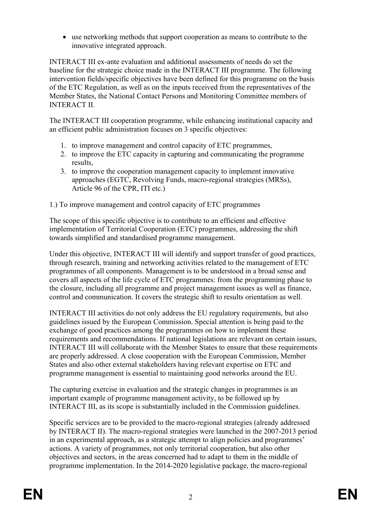use networking methods that support cooperation as means to contribute to the innovative integrated approach.

INTERACT III ex-ante evaluation and additional assessments of needs do set the baseline for the strategic choice made in the INTERACT III programme. The following intervention fields/specific objectives have been defined for this programme on the basis of the ETC Regulation, as well as on the inputs received from the representatives of the Member States, the National Contact Persons and Monitoring Committee members of INTERACT II.

The INTERACT III cooperation programme, while enhancing institutional capacity and an efficient public administration focuses on 3 specific objectives:

- 1. to improve management and control capacity of ETC programmes,
- 2. to improve the ETC capacity in capturing and communicating the programme results,
- 3. to improve the cooperation management capacity to implement innovative approaches (EGTC, Revolving Funds, macro-regional strategies (MRSs), Article 96 of the CPR, ITI etc.)
- 1.) To improve management and control capacity of ETC programmes

The scope of this specific objective is to contribute to an efficient and effective implementation of Territorial Cooperation (ETC) programmes, addressing the shift towards simplified and standardised programme management.

Under this objective, INTERACT III will identify and support transfer of good practices, through research, training and networking activities related to the management of ETC programmes of all components. Management is to be understood in a broad sense and covers all aspects of the life cycle of ETC programmes: from the programming phase to the closure, including all programme and project management issues as well as finance, control and communication. It covers the strategic shift to results orientation as well.

INTERACT III activities do not only address the EU regulatory requirements, but also guidelines issued by the European Commission. Special attention is being paid to the exchange of good practices among the programmes on how to implement these requirements and recommendations. If national legislations are relevant on certain issues, INTERACT III will collaborate with the Member States to ensure that these requirements are properly addressed. A close cooperation with the European Commission, Member States and also other external stakeholders having relevant expertise on ETC and programme management is essential to maintaining good networks around the EU.

The capturing exercise in evaluation and the strategic changes in programmes is an important example of programme management activity, to be followed up by INTERACT III, as its scope is substantially included in the Commission guidelines.

Specific services are to be provided to the macro-regional strategies (already addressed by INTERACT II). The macro-regional strategies were launched in the 2007-2013 period in an experimental approach, as a strategic attempt to align policies and programmes' actions. A variety of programmes, not only territorial cooperation, but also other objectives and sectors, in the areas concerned had to adapt to them in the middle of programme implementation. In the 2014-2020 legislative package, the macro-regional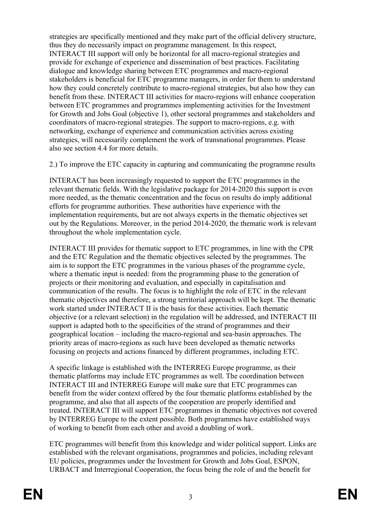strategies are specifically mentioned and they make part of the official delivery structure, thus they do necessarily impact on programme management. In this respect, INTERACT III support will only be horizontal for all macro-regional strategies and provide for exchange of experience and dissemination of best practices. Facilitating dialogue and knowledge sharing between ETC programmes and macro-regional stakeholders is beneficial for ETC programme managers, in order for them to understand how they could concretely contribute to macro-regional strategies, but also how they can benefit from these. INTERACT III activities for macro-regions will enhance cooperation between ETC programmes and programmes implementing activities for the Investment for Growth and Jobs Goal (objective 1), other sectoral programmes and stakeholders and coordinators of macro-regional strategies. The support to macro-regions, e.g. with networking, exchange of experience and communication activities across existing strategies, will necessarily complement the work of transnational programmes. Please also see section 4.4 for more details.

2.) To improve the ETC capacity in capturing and communicating the programme results

INTERACT has been increasingly requested to support the ETC programmes in the relevant thematic fields. With the legislative package for 2014-2020 this support is even more needed, as the thematic concentration and the focus on results do imply additional efforts for programme authorities. These authorities have experience with the implementation requirements, but are not always experts in the thematic objectives set out by the Regulations. Moreover, in the period 2014-2020, the thematic work is relevant throughout the whole implementation cycle.

INTERACT III provides for thematic support to ETC programmes, in line with the CPR and the ETC Regulation and the thematic objectives selected by the programmes. The aim is to support the ETC programmes in the various phases of the programme cycle, where a thematic input is needed: from the programming phase to the generation of projects or their monitoring and evaluation, and especially in capitalisation and communication of the results. The focus is to highlight the role of ETC in the relevant thematic objectives and therefore, a strong territorial approach will be kept. The thematic work started under INTERACT II is the basis for these activities. Each thematic objective (or a relevant selection) in the regulation will be addressed, and INTERACT III support is adapted both to the specificities of the strand of programmes and their geographical location – including the macro-regional and sea-basin approaches. The priority areas of macro-regions as such have been developed as thematic networks focusing on projects and actions financed by different programmes, including ETC.

A specific linkage is established with the INTERREG Europe programme, as their thematic platforms may include ETC programmes as well. The coordination between INTERACT III and INTERREG Europe will make sure that ETC programmes can benefit from the wider context offered by the four thematic platforms established by the programme, and also that all aspects of the cooperation are properly identified and treated. INTERACT III will support ETC programmes in thematic objectives not covered by INTERREG Europe to the extent possible. Both programmes have established ways of working to benefit from each other and avoid a doubling of work.

ETC programmes will benefit from this knowledge and wider political support. Links are established with the relevant organisations, programmes and policies, including relevant EU policies, programmes under the Investment for Growth and Jobs Goal, ESPON, URBACT and Interregional Cooperation, the focus being the role of and the benefit for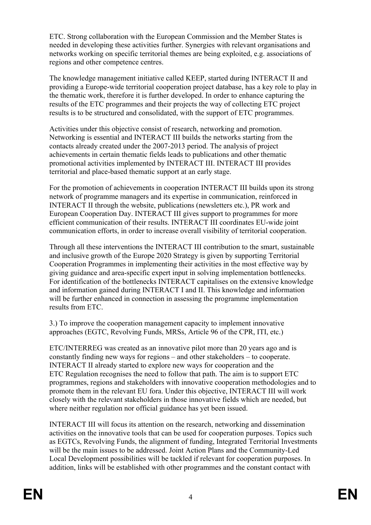ETC. Strong collaboration with the European Commission and the Member States is needed in developing these activities further. Synergies with relevant organisations and networks working on specific territorial themes are being exploited, e.g. associations of regions and other competence centres.

The knowledge management initiative called KEEP, started during INTERACT II and providing a Europe-wide territorial cooperation project database, has a key role to play in the thematic work, therefore it is further developed. In order to enhance capturing the results of the ETC programmes and their projects the way of collecting ETC project results is to be structured and consolidated, with the support of ETC programmes.

Activities under this objective consist of research, networking and promotion. Networking is essential and INTERACT III builds the networks starting from the contacts already created under the 2007-2013 period. The analysis of project achievements in certain thematic fields leads to publications and other thematic promotional activities implemented by INTERACT III. INTERACT III provides territorial and place-based thematic support at an early stage.

For the promotion of achievements in cooperation INTERACT III builds upon its strong network of programme managers and its expertise in communication, reinforced in INTERACT II through the website, publications (newsletters etc.), PR work and European Cooperation Day. INTERACT III gives support to programmes for more efficient communication of their results. INTERACT III coordinates EU-wide joint communication efforts, in order to increase overall visibility of territorial cooperation.

Through all these interventions the INTERACT III contribution to the smart, sustainable and inclusive growth of the Europe 2020 Strategy is given by supporting Territorial Cooperation Programmes in implementing their activities in the most effective way by giving guidance and area-specific expert input in solving implementation bottlenecks. For identification of the bottlenecks INTERACT capitalises on the extensive knowledge and information gained during INTERACT I and II. This knowledge and information will be further enhanced in connection in assessing the programme implementation results from ETC.

3.) To improve the cooperation management capacity to implement innovative approaches (EGTC, Revolving Funds, MRSs, Article 96 of the CPR, ITI, etc.)

ETC/INTERREG was created as an innovative pilot more than 20 years ago and is constantly finding new ways for regions – and other stakeholders – to cooperate. INTERACT II already started to explore new ways for cooperation and the ETC Regulation recognises the need to follow that path. The aim is to support ETC programmes, regions and stakeholders with innovative cooperation methodologies and to promote them in the relevant EU fora. Under this objective, INTERACT III will work closely with the relevant stakeholders in those innovative fields which are needed, but where neither regulation nor official guidance has yet been issued.

INTERACT III will focus its attention on the research, networking and dissemination activities on the innovative tools that can be used for cooperation purposes. Topics such as EGTCs, Revolving Funds, the alignment of funding, Integrated Territorial Investments will be the main issues to be addressed. Joint Action Plans and the Community-Led Local Development possibilities will be tackled if relevant for cooperation purposes. In addition, links will be established with other programmes and the constant contact with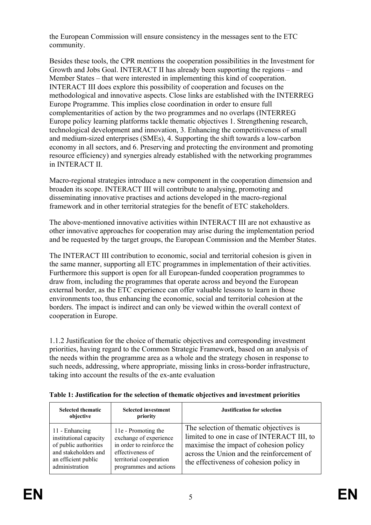the European Commission will ensure consistency in the messages sent to the ETC community.

Besides these tools, the CPR mentions the cooperation possibilities in the Investment for Growth and Jobs Goal. INTERACT II has already been supporting the regions – and Member States – that were interested in implementing this kind of cooperation. INTERACT III does explore this possibility of cooperation and focuses on the methodological and innovative aspects. Close links are established with the INTERREG Europe Programme. This implies close coordination in order to ensure full complementarities of action by the two programmes and no overlaps (INTERREG Europe policy learning platforms tackle thematic objectives 1. Strengthening research, technological development and innovation, 3. Enhancing the competitiveness of small and medium-sized enterprises (SMEs), 4. Supporting the shift towards a low-carbon economy in all sectors, and 6. Preserving and protecting the environment and promoting resource efficiency) and synergies already established with the networking programmes in INTERACT II.

Macro-regional strategies introduce a new component in the cooperation dimension and broaden its scope. INTERACT III will contribute to analysing, promoting and disseminating innovative practises and actions developed in the macro-regional framework and in other territorial strategies for the benefit of ETC stakeholders.

The above-mentioned innovative activities within INTERACT III are not exhaustive as other innovative approaches for cooperation may arise during the implementation period and be requested by the target groups, the European Commission and the Member States.

The INTERACT III contribution to economic, social and territorial cohesion is given in the same manner, supporting all ETC programmes in implementation of their activities. Furthermore this support is open for all European-funded cooperation programmes to draw from, including the programmes that operate across and beyond the European external border, as the ETC experience can offer valuable lessons to learn in those environments too, thus enhancing the economic, social and territorial cohesion at the borders. The impact is indirect and can only be viewed within the overall context of cooperation in Europe.

1.1.2 Justification for the choice of thematic objectives and corresponding investment priorities, having regard to the Common Strategic Framework, based on an analysis of the needs within the programme area as a whole and the strategy chosen in response to such needs, addressing, where appropriate, missing links in cross-border infrastructure, taking into account the results of the ex-ante evaluation

| <b>Selected thematic</b><br>objective                                                                                              | <b>Selected investment</b><br>priority                                                                                                              | <b>Justification for selection</b>                                                                                                                                                                                       |
|------------------------------------------------------------------------------------------------------------------------------------|-----------------------------------------------------------------------------------------------------------------------------------------------------|--------------------------------------------------------------------------------------------------------------------------------------------------------------------------------------------------------------------------|
| 11 - Enhancing<br>institutional capacity<br>of public authorities<br>and stakeholders and<br>an efficient public<br>administration | 11e - Promoting the<br>exchange of experience<br>in order to reinforce the<br>effectiveness of<br>territorial cooperation<br>programmes and actions | The selection of the matic objectives is<br>limited to one in case of INTERACT III, to<br>maximise the impact of cohesion policy<br>across the Union and the reinforcement of<br>the effectiveness of cohesion policy in |

**Table 1: Justification for the selection of thematic objectives and investment priorities**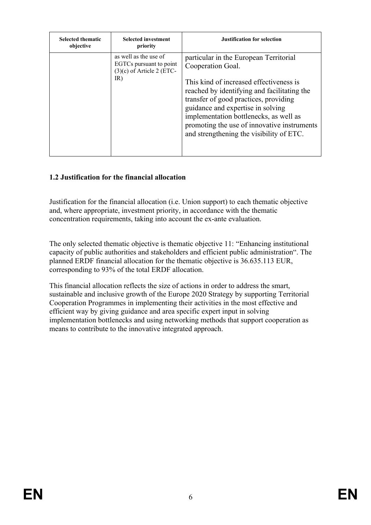| <b>Selected thematic</b><br>objective | <b>Selected investment</b><br>priority                                                 | <b>Justification for selection</b>                                                                                                                                                                                                                                                                                                                                       |
|---------------------------------------|----------------------------------------------------------------------------------------|--------------------------------------------------------------------------------------------------------------------------------------------------------------------------------------------------------------------------------------------------------------------------------------------------------------------------------------------------------------------------|
|                                       | as well as the use of<br>EGTCs pursuant to point<br>$(3)(c)$ of Article 2 (ETC-<br>IR) | particular in the European Territorial<br>Cooperation Goal.<br>This kind of increased effectiveness is<br>reached by identifying and facilitating the<br>transfer of good practices, providing<br>guidance and expertise in solving<br>implementation bottlenecks, as well as<br>promoting the use of innovative instruments<br>and strengthening the visibility of ETC. |

# **1.2 Justification for the financial allocation**

Justification for the financial allocation (i.e. Union support) to each thematic objective and, where appropriate, investment priority, in accordance with the thematic concentration requirements, taking into account the ex-ante evaluation.

The only selected thematic objective is thematic objective 11: "Enhancing institutional capacity of public authorities and stakeholders and efficient public administration". The planned ERDF financial allocation for the thematic objective is 36.635.113 EUR, corresponding to 93% of the total ERDF allocation.

This financial allocation reflects the size of actions in order to address the smart, sustainable and inclusive growth of the Europe 2020 Strategy by supporting Territorial Cooperation Programmes in implementing their activities in the most effective and efficient way by giving guidance and area specific expert input in solving implementation bottlenecks and using networking methods that support cooperation as means to contribute to the innovative integrated approach.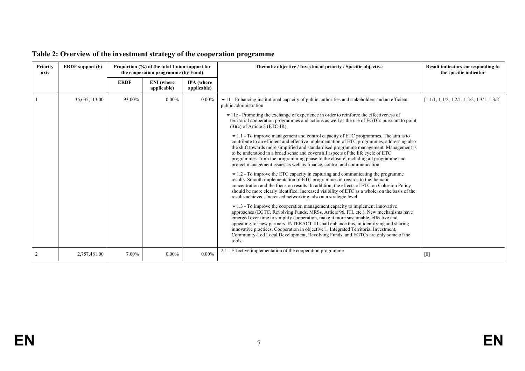| <b>Priority</b><br>axis | <b>ERDF</b> support $(\epsilon)$ | Proportion (%) of the total Union support for<br>the cooperation programme (by Fund) |                                  |                                  | Thematic objective / Investment priority / Specific objective                                                                                                                                                                                                                                                                                                                                                                                                                                                                                                                                                                                                                                                                                                                                                                                                                                                                                                                                                                                                                                                                                                                                                                                                                                                                                                                                                                                                                                                                                                                                                                                                                                                                                                                                                                                                                                                                                                     | <b>Result indicators corresponding to</b><br>the specific indicator |
|-------------------------|----------------------------------|--------------------------------------------------------------------------------------|----------------------------------|----------------------------------|-------------------------------------------------------------------------------------------------------------------------------------------------------------------------------------------------------------------------------------------------------------------------------------------------------------------------------------------------------------------------------------------------------------------------------------------------------------------------------------------------------------------------------------------------------------------------------------------------------------------------------------------------------------------------------------------------------------------------------------------------------------------------------------------------------------------------------------------------------------------------------------------------------------------------------------------------------------------------------------------------------------------------------------------------------------------------------------------------------------------------------------------------------------------------------------------------------------------------------------------------------------------------------------------------------------------------------------------------------------------------------------------------------------------------------------------------------------------------------------------------------------------------------------------------------------------------------------------------------------------------------------------------------------------------------------------------------------------------------------------------------------------------------------------------------------------------------------------------------------------------------------------------------------------------------------------------------------------|---------------------------------------------------------------------|
|                         |                                  | <b>ERDF</b>                                                                          | <b>ENI</b> (where<br>applicable) | <b>IPA</b> (where<br>applicable) |                                                                                                                                                                                                                                                                                                                                                                                                                                                                                                                                                                                                                                                                                                                                                                                                                                                                                                                                                                                                                                                                                                                                                                                                                                                                                                                                                                                                                                                                                                                                                                                                                                                                                                                                                                                                                                                                                                                                                                   |                                                                     |
|                         | 36,635,113.00                    | 93.00%                                                                               | $0.00\%$                         | $0.00\%$                         | $\bullet$ 11 - Enhancing institutional capacity of public authorities and stakeholders and an efficient<br>public administration<br>$\blacktriangleright$ 11e - Promoting the exchange of experience in order to reinforce the effectiveness of<br>territorial cooperation programmes and actions as well as the use of EGTCs pursuant to point<br>$(3)(c)$ of Article 2 (ETC-IR)<br>$\blacktriangleright$ 1.1 - To improve management and control capacity of ETC programmes. The aim is to<br>contribute to an efficient and effective implementation of ETC programmes, addressing also<br>the shift towards more simplified and standardised programme management. Management is<br>to be understood in a broad sense and covers all aspects of the life cycle of ETC<br>programmes: from the programming phase to the closure, including all programme and<br>project management issues as well as finance, control and communication.<br>$\blacktriangleright$ 1.2 - To improve the ETC capacity in capturing and communicating the programme<br>results. Smooth implementation of ETC programmes in regards to the thematic<br>concentration and the focus on results. In addition, the effects of ETC on Cohesion Policy<br>should be more clearly identified. Increased visibility of ETC as a whole, on the basis of the<br>results achieved. Increased networking, also at a strategic level.<br>$\bullet$ 1.3 - To improve the cooperation management capacity to implement innovative<br>approaches (EGTC, Revolving Funds, MRSs, Article 96, ITI, etc.). New mechanisms have<br>emerged over time to simplify cooperation, make it more sustainable, effective and<br>appealing for new partners. INTERACT III shall enhance this, in identifying and sharing<br>innovative practices. Cooperation in objective 1, Integrated Territorial Investment,<br>Community-Led Local Development, Revolving Funds, and EGTCs are only some of the<br>tools. | $[1.1/1, 1.1/2, 1.2/1, 1.2/2, 1.3/1, 1.3/2]$                        |
|                         | 2,757,481.00                     | 7.00%                                                                                | $0.00\%$                         | $0.00\%$                         | 2.1 - Effective implementation of the cooperation programme                                                                                                                                                                                                                                                                                                                                                                                                                                                                                                                                                                                                                                                                                                                                                                                                                                                                                                                                                                                                                                                                                                                                                                                                                                                                                                                                                                                                                                                                                                                                                                                                                                                                                                                                                                                                                                                                                                       | [0]                                                                 |

# **Table 2: Overview of the investment strategy of the cooperation programme**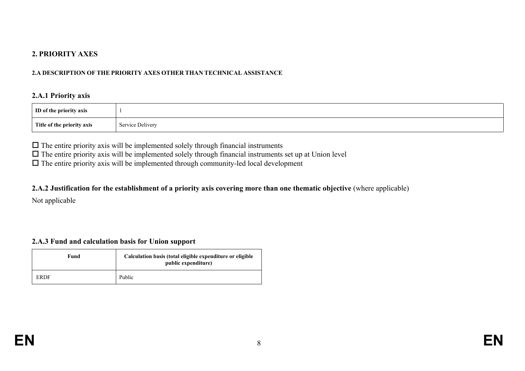#### **2. PRIORITY AXES**

#### **2.A DESCRIPTION OF THE PRIORITY AXES OTHER THAN TECHNICAL ASSISTANCE**

#### **2.A.1 Priority axis**

| ID of the priority axis    |                  |
|----------------------------|------------------|
| Title of the priority axis | Service Delivery |

 $\Box$  The entire priority axis will be implemented solely through financial instruments

 $\Box$  The entire priority axis will be implemented solely through financial instruments set up at Union level

 $\Box$  The entire priority axis will be implemented through community-led local development

#### 2.A.2 Justification for the establishment of a priority axis covering more than one thematic objective (where applicable)

Not applicable

#### **2.A.3 Fund and calculation basis for Union support**

| Fund | Calculation basis (total eligible expenditure or eligible<br>public expenditure) |
|------|----------------------------------------------------------------------------------|
| ERDF | Public                                                                           |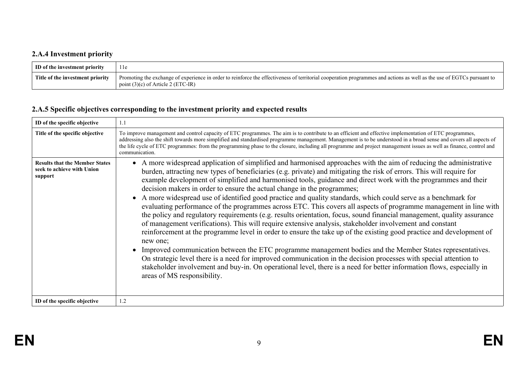# **2.A.4 Investment priority**

| ID of the investment priority    | 11e                                                                                                                                                                                                            |
|----------------------------------|----------------------------------------------------------------------------------------------------------------------------------------------------------------------------------------------------------------|
| Title of the investment priority | Promoting the exchange of experience in order to reinforce the effectiveness of territorial cooperation programmes and actions as well as the use of EGTCs pursuant to<br>point $(3)(c)$ of Article 2 (ETC-IR) |

# **2.A.5 Specific objectives corresponding to the investment priority and expected results**

| ID of the specific objective                                                   | 1.1                                                                                                                                                                                                                                                                                                                                                                                                                                                                                                                                                                                                                                                                                                                                                                                                                                                                                                                                                                                                                                                                                                                                                                                                                                                                                                                                                                                                                                                   |
|--------------------------------------------------------------------------------|-------------------------------------------------------------------------------------------------------------------------------------------------------------------------------------------------------------------------------------------------------------------------------------------------------------------------------------------------------------------------------------------------------------------------------------------------------------------------------------------------------------------------------------------------------------------------------------------------------------------------------------------------------------------------------------------------------------------------------------------------------------------------------------------------------------------------------------------------------------------------------------------------------------------------------------------------------------------------------------------------------------------------------------------------------------------------------------------------------------------------------------------------------------------------------------------------------------------------------------------------------------------------------------------------------------------------------------------------------------------------------------------------------------------------------------------------------|
| Title of the specific objective                                                | To improve management and control capacity of ETC programmes. The aim is to contribute to an efficient and effective implementation of ETC programmes,<br>addressing also the shift towards more simplified and standardised programme management. Management is to be understood in a broad sense and covers all aspects of<br>the life cycle of ETC programmes: from the programming phase to the closure, including all programme and project management issues as well as finance, control and<br>communication.                                                                                                                                                                                                                                                                                                                                                                                                                                                                                                                                                                                                                                                                                                                                                                                                                                                                                                                                  |
| <b>Results that the Member States</b><br>seek to achieve with Union<br>support | • A more widespread application of simplified and harmonised approaches with the aim of reducing the administrative<br>burden, attracting new types of beneficiaries (e.g. private) and mitigating the risk of errors. This will require for<br>example development of simplified and harmonised tools, guidance and direct work with the programmes and their<br>decision makers in order to ensure the actual change in the programmes;<br>• A more widespread use of identified good practice and quality standards, which could serve as a benchmark for<br>evaluating performance of the programmes across ETC. This covers all aspects of programme management in line with<br>the policy and regulatory requirements (e.g. results orientation, focus, sound financial management, quality assurance<br>of management verifications). This will require extensive analysis, stakeholder involvement and constant<br>reinforcement at the programme level in order to ensure the take up of the existing good practice and development of<br>new one;<br>Improved communication between the ETC programme management bodies and the Member States representatives.<br>On strategic level there is a need for improved communication in the decision processes with special attention to<br>stakeholder involvement and buy-in. On operational level, there is a need for better information flows, especially in<br>areas of MS responsibility. |
| ID of the specific objective                                                   | 1.2                                                                                                                                                                                                                                                                                                                                                                                                                                                                                                                                                                                                                                                                                                                                                                                                                                                                                                                                                                                                                                                                                                                                                                                                                                                                                                                                                                                                                                                   |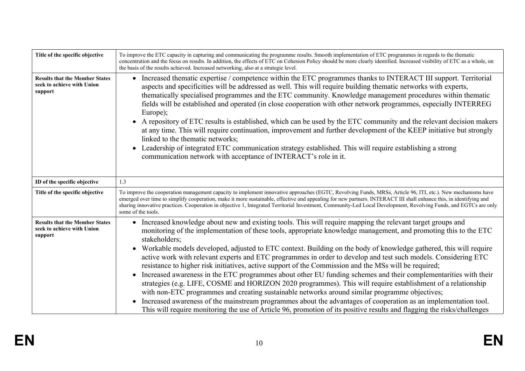| Title of the specific objective                                                | To improve the ETC capacity in capturing and communicating the programme results. Smooth implementation of ETC programmes in regards to the thematic<br>concentration and the focus on results. In addition, the effects of ETC on Cohesion Policy should be more clearly identified. Increased visibility of ETC as a whole, on<br>the basis of the results achieved. Increased networking, also at a strategic level.                                                                                                                                                                                                                                                                                                                                                                                                                                                                                                                                                                                                                                                                                                                                                                                        |
|--------------------------------------------------------------------------------|----------------------------------------------------------------------------------------------------------------------------------------------------------------------------------------------------------------------------------------------------------------------------------------------------------------------------------------------------------------------------------------------------------------------------------------------------------------------------------------------------------------------------------------------------------------------------------------------------------------------------------------------------------------------------------------------------------------------------------------------------------------------------------------------------------------------------------------------------------------------------------------------------------------------------------------------------------------------------------------------------------------------------------------------------------------------------------------------------------------------------------------------------------------------------------------------------------------|
| <b>Results that the Member States</b><br>seek to achieve with Union<br>support | • Increased thematic expertise / competence within the ETC programmes thanks to INTERACT III support. Territorial<br>aspects and specificities will be addressed as well. This will require building thematic networks with experts,<br>the matically specialised programmes and the ETC community. Knowledge management procedures within the matic<br>fields will be established and operated (in close cooperation with other network programmes, especially INTERREG<br>Europe);<br>• A repository of ETC results is established, which can be used by the ETC community and the relevant decision makers<br>at any time. This will require continuation, improvement and further development of the KEEP initiative but strongly<br>linked to the thematic networks;<br>Leadership of integrated ETC communication strategy established. This will require establishing a strong<br>$\bullet$<br>communication network with acceptance of INTERACT's role in it.                                                                                                                                                                                                                                          |
| ID of the specific objective                                                   | 1.3                                                                                                                                                                                                                                                                                                                                                                                                                                                                                                                                                                                                                                                                                                                                                                                                                                                                                                                                                                                                                                                                                                                                                                                                            |
| Title of the specific objective                                                | To improve the cooperation management capacity to implement innovative approaches (EGTC, Revolving Funds, MRSs, Article 96, ITI, etc.). New mechanisms have<br>emerged over time to simplify cooperation, make it more sustainable, effective and appealing for new partners. INTERACT III shall enhance this, in identifying and<br>sharing innovative practices. Cooperation in objective 1, Integrated Territorial Investment, Community-Led Local Development, Revolving Funds, and EGTCs are only<br>some of the tools.                                                                                                                                                                                                                                                                                                                                                                                                                                                                                                                                                                                                                                                                                   |
| <b>Results that the Member States</b><br>seek to achieve with Union<br>support | • Increased knowledge about new and existing tools. This will require mapping the relevant target groups and<br>monitoring of the implementation of these tools, appropriate knowledge management, and promoting this to the ETC<br>stakeholders;<br>Workable models developed, adjusted to ETC context. Building on the body of knowledge gathered, this will require<br>$\bullet$<br>active work with relevant experts and ETC programmes in order to develop and test such models. Considering ETC<br>resistance to higher risk initiatives, active support of the Commission and the MSs will be required;<br>Increased awareness in the ETC programmes about other EU funding schemes and their complementarities with their<br>$\bullet$<br>strategies (e.g. LIFE, COSME and HORIZON 2020 programmes). This will require establishment of a relationship<br>with non-ETC programmes and creating sustainable networks around similar programme objectives;<br>Increased awareness of the mainstream programmes about the advantages of cooperation as an implementation tool.<br>This will require monitoring the use of Article 96, promotion of its positive results and flagging the risks/challenges |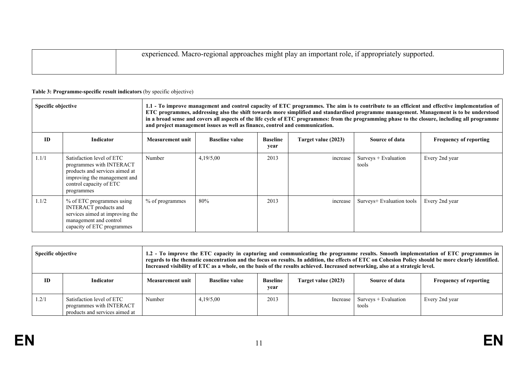| , if appropriately $\sim$<br>experienced. Macro-regional approaches might play an important role,<br>supported. |
|-----------------------------------------------------------------------------------------------------------------|
|                                                                                                                 |

| <b>Specific objective</b> |                                                                                                                                                                  |                  | and project management issues as well as finance, control and communication. |                         |                     |                                | 1.1 - To improve management and control capacity of ETC programmes. The aim is to contribute to an efficient and effective implementation of<br>ETC programmes, addressing also the shift towards more simplified and standardised programme management. Management is to be understood<br>in a broad sense and covers all aspects of the life cycle of ETC programmes: from the programming phase to the closure, including all programme |
|---------------------------|------------------------------------------------------------------------------------------------------------------------------------------------------------------|------------------|------------------------------------------------------------------------------|-------------------------|---------------------|--------------------------------|--------------------------------------------------------------------------------------------------------------------------------------------------------------------------------------------------------------------------------------------------------------------------------------------------------------------------------------------------------------------------------------------------------------------------------------------|
| ID                        | <b>Indicator</b>                                                                                                                                                 | Measurement unit | <b>Baseline value</b>                                                        | <b>Baseline</b><br>year | Target value (2023) | Source of data                 | <b>Frequency of reporting</b>                                                                                                                                                                                                                                                                                                                                                                                                              |
| 1.1/1                     | Satisfaction level of ETC<br>programmes with INTERACT<br>products and services aimed at<br>improving the management and<br>control capacity of ETC<br>programmes | Number           | 4,19/5,00                                                                    | 2013                    | increase            | $Suvevs + Evaluation$<br>tools | Every 2nd year                                                                                                                                                                                                                                                                                                                                                                                                                             |
| 1.1/2                     | % of ETC programmes using<br><b>INTERACT</b> products and<br>services aimed at improving the<br>management and control<br>capacity of ETC programmes             | % of programmes  | 80%                                                                          | 2013                    | increase            | Surveys+ Evaluation tools      | Every 2nd year                                                                                                                                                                                                                                                                                                                                                                                                                             |

#### **Table 3: Programme-specific result indicators** (by specific objective)

| <b>Specific objective</b> |                                                                                         | 1.2 - To improve the ETC capacity in capturing and communicating the programme results. Smooth implementation of ETC programmes in<br>regards to the thematic concentration and the focus on results. In addition, the effects of ETC on Cohesion Policy should be more clearly identified.<br>Increased visibility of ETC as a whole, on the basis of the results achieved. Increased networking, also at a strategic level. |                       |                         |                     |                               |                               |
|---------------------------|-----------------------------------------------------------------------------------------|-------------------------------------------------------------------------------------------------------------------------------------------------------------------------------------------------------------------------------------------------------------------------------------------------------------------------------------------------------------------------------------------------------------------------------|-----------------------|-------------------------|---------------------|-------------------------------|-------------------------------|
| ID                        | <b>Indicator</b>                                                                        | <b>Measurement unit</b>                                                                                                                                                                                                                                                                                                                                                                                                       | <b>Baseline value</b> | <b>Baseline</b><br>year | Target value (2023) | Source of data                | <b>Frequency of reporting</b> |
| 1.2/1                     | Satisfaction level of ETC<br>programmes with INTERACT<br>products and services aimed at | Number                                                                                                                                                                                                                                                                                                                                                                                                                        | 4,19/5,00             | 2013                    | Increase            | Surveys + Evaluation<br>tools | Every 2nd year                |

 $\mathbf{r}$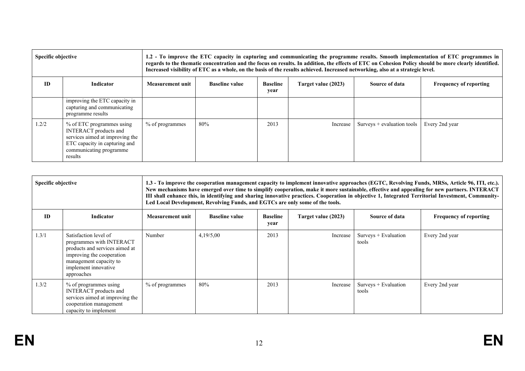| <b>Specific objective</b> |                                                                                                                                                                     | 1.2 - To improve the ETC capacity in capturing and communicating the programme results. Smooth implementation of ETC programmes in<br>regards to the thematic concentration and the focus on results. In addition, the effects of ETC on Cohesion Policy should be more clearly identified.<br>Increased visibility of ETC as a whole, on the basis of the results achieved. Increased networking, also at a strategic level. |                       |                         |                     |                             |                               |
|---------------------------|---------------------------------------------------------------------------------------------------------------------------------------------------------------------|-------------------------------------------------------------------------------------------------------------------------------------------------------------------------------------------------------------------------------------------------------------------------------------------------------------------------------------------------------------------------------------------------------------------------------|-----------------------|-------------------------|---------------------|-----------------------------|-------------------------------|
| <b>ID</b><br>Indicator    |                                                                                                                                                                     | <b>Measurement unit</b>                                                                                                                                                                                                                                                                                                                                                                                                       | <b>Baseline value</b> | <b>Baseline</b><br>year | Target value (2023) | Source of data              | <b>Frequency of reporting</b> |
|                           | improving the ETC capacity in<br>capturing and communicating<br>programme results                                                                                   |                                                                                                                                                                                                                                                                                                                                                                                                                               |                       |                         |                     |                             |                               |
| 1.2/2                     | % of ETC programmes using<br><b>INTERACT</b> products and<br>services aimed at improving the<br>ETC capacity in capturing and<br>communicating programme<br>results | % of programmes                                                                                                                                                                                                                                                                                                                                                                                                               | 80%                   | 2013                    | Increase            | $Suvevs + evaluation tools$ | Every 2nd year                |

| Specific objective            |                                                                                                                                                                                  | 1.3 - To improve the cooperation management capacity to implement innovative approaches (EGTC, Revolving Funds, MRSs, Article 96, ITI, etc.).<br>New mechanisms have emerged over time to simplify cooperation, make it more sustainable, effective and appealing for new partners. INTERACT<br>III shall enhance this, in identifying and sharing innovative practices. Cooperation in objective 1, Integrated Territorial Investment, Community-<br>Led Local Development, Revolving Funds, and EGTCs are only some of the tools. |                       |                         |                     |                                |                               |  |
|-------------------------------|----------------------------------------------------------------------------------------------------------------------------------------------------------------------------------|-------------------------------------------------------------------------------------------------------------------------------------------------------------------------------------------------------------------------------------------------------------------------------------------------------------------------------------------------------------------------------------------------------------------------------------------------------------------------------------------------------------------------------------|-----------------------|-------------------------|---------------------|--------------------------------|-------------------------------|--|
| <b>ID</b><br><b>Indicator</b> |                                                                                                                                                                                  | <b>Measurement unit</b>                                                                                                                                                                                                                                                                                                                                                                                                                                                                                                             | <b>Baseline value</b> | <b>Baseline</b><br>year | Target value (2023) | Source of data                 | <b>Frequency of reporting</b> |  |
| 1.3/1                         | Satisfaction level of<br>programmes with INTERACT<br>products and services aimed at<br>improving the cooperation<br>management capacity to<br>implement innovative<br>approaches | Number                                                                                                                                                                                                                                                                                                                                                                                                                                                                                                                              | 4,19/5,00             | 2013                    | Increase            | $Suvevs + Evaluation$<br>tools | Every 2nd year                |  |
| 1.3/2                         | % of programmes using<br><b>INTERACT</b> products and<br>services aimed at improving the<br>cooperation management<br>capacity to implement                                      | % of programmes                                                                                                                                                                                                                                                                                                                                                                                                                                                                                                                     | 80%                   | 2013                    | Increase            | Surveys + Evaluation<br>tools  | Every 2nd year                |  |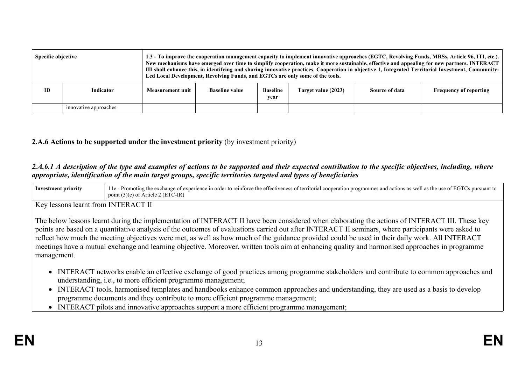| <b>Specific objective</b> |                       | 1.3 - To improve the cooperation management capacity to implement innovative approaches (EGTC, Revolving Funds, MRSs, Article 96, ITI, etc.).<br>New mechanisms have emerged over time to simplify cooperation, make it more sustainable, effective and appealing for new partners. INTERACT<br>III shall enhance this, in identifying and sharing innovative practices. Cooperation in objective 1, Integrated Territorial Investment, Community-<br>Led Local Development, Revolving Funds, and EGTCs are only some of the tools. |                       |                         |                     |                |                               |
|---------------------------|-----------------------|-------------------------------------------------------------------------------------------------------------------------------------------------------------------------------------------------------------------------------------------------------------------------------------------------------------------------------------------------------------------------------------------------------------------------------------------------------------------------------------------------------------------------------------|-----------------------|-------------------------|---------------------|----------------|-------------------------------|
| ID                        | <b>Indicator</b>      | Measurement unit                                                                                                                                                                                                                                                                                                                                                                                                                                                                                                                    | <b>Baseline value</b> | <b>Baseline</b><br>year | Target value (2023) | Source of data | <b>Frequency of reporting</b> |
|                           | innovative approaches |                                                                                                                                                                                                                                                                                                                                                                                                                                                                                                                                     |                       |                         |                     |                |                               |

#### **2.A.6 Actions to be supported under the investment priority** (by investment priority)

#### 2.A.6.1 A description of the type and examples of actions to be supported and their expected contribution to the specific objectives, including, where *appropriate, identification of the main target groups, specific territories targeted and types of beneficiaries*

| Investment priority | tung the exchange of experience in order to reinforce the effectiveness of territorial cooperation programmes and actions as well as the use of EGTCs<br>s pursuant to<br>Promot.<br>.'−IR<br>point<br>Article<br>7. E 1.<br>$.5$ MeV |
|---------------------|---------------------------------------------------------------------------------------------------------------------------------------------------------------------------------------------------------------------------------------|
|                     |                                                                                                                                                                                                                                       |

Key lessons learnt from INTERACT II

The below lessons learnt during the implementation of INTERACT II have been considered when elaborating the actions of INTERACT III. These key points are based on a quantitative analysis of the outcomes of evaluations carried out after INTERACT II seminars, where participants were asked to reflect how much the meeting objectives were met, as well as how much of the guidance provided could be used in their daily work. All INTERACT meetings have a mutual exchange and learning objective. Moreover, written tools aim at enhancing quality and harmonised approaches in programme management.

- INTERACT networks enable an effective exchange of good practices among programme stakeholders and contribute to common approaches and understanding, i.e., to more efficient programme management;
- INTERACT tools, harmonised templates and handbooks enhance common approaches and understanding, they are used as a basis to develop programme documents and they contribute to more efficient programme management;
- INTERACT pilots and innovative approaches support a more efficient programme management;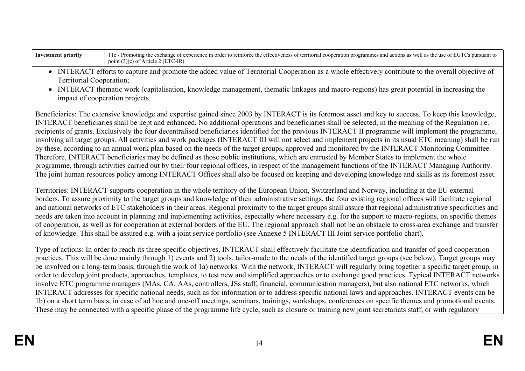| Inves<br>orıt | n order to reinforce the effectiveness of territorial<br><b>Promoting the exchange of <math>\epsilon</math></b><br>' cooperation<br>e pursuant<br>n programmes and actions as well as the<br>r experience :<br>$115e$ of $E(T)$<br>пе |
|---------------|---------------------------------------------------------------------------------------------------------------------------------------------------------------------------------------------------------------------------------------|
|               | $\eta$ oint,<br>Article<br>- 631601.01                                                                                                                                                                                                |

- INTERACT efforts to capture and promote the added value of Territorial Cooperation as a whole effectively contribute to the overall objective of Territorial Cooperation;
- INTERACT thematic work (capitalisation, knowledge management, thematic linkages and macro-regions) has great potential in increasing the impact of cooperation projects.

Beneficiaries: The extensive knowledge and expertise gained since 2003 by INTERACT is its foremost asset and key to success. To keep this knowledge, INTERACT beneficiaries shall be kept and enhanced. No additional operations and beneficiaries shall be selected, in the meaning of the Regulation i.e. recipients of grants. Exclusively the four decentralised beneficiaries identified for the previous INTERACT II programme will implement the programme, involving all target groups. All activities and work packages (INTERACT III will not select and implement projects in its usual ETC meaning) shall be run by these, according to an annual work plan based on the needs of the target groups, approved and monitored by the INTERACT Monitoring Committee. Therefore, INTERACT beneficiaries may be defined as those public institutions, which are entrusted by Member States to implement the whole programme, through activities carried out by their four regional offices, in respect of the management functions of the INTERACT Managing Authority. The joint human resources policy among INTERACT Offices shall also be focused on keeping and developing knowledge and skills as its foremost asset.

Territories: INTERACT supports cooperation in the whole territory of the European Union, Switzerland and Norway, including at the EU external borders. To assure proximity to the target groups and knowledge of their administrative settings, the four existing regional offices will facilitate regional and national networks of ETC stakeholders in their areas. Regional proximity to the target groups shall assure that regional administrative specificities and needs are taken into account in planning and implementing activities, especially where necessary e.g. for the support to macro-regions, on specific themes of cooperation, as well as for cooperation at external borders of the EU. The regional approach shall not be an obstacle to cross-area exchange and transfer of knowledge. This shall be assured e.g. with a joint service portfolio (see Annexe 5 INTERACT III Joint service portfolio chart).

Type of actions: In order to reach its three specific objectives, INTERACT shall effectively facilitate the identification and transfer of good cooperation practices. This will be done mainly through 1) events and 2) tools, tailor-made to the needs of the identified target groups (see below). Target groups may be involved on a long-term basis, through the work of 1a) networks. With the network, INTERACT will regularly bring together a specific target group, in order to develop joint products, approaches, templates, to test new and simplified approaches or to exchange good practices. Typical INTERACT networks involve ETC programme managers (MAs, CA, AAs, controllers, JSs staff, financial, communication managers), but also national ETC networks, which INTERACT addresses for specific national needs, such as for information or to address specific national laws and approaches. INTERACT events can be 1b) on a short term basis, in case of ad hoc and one-off meetings, seminars, trainings, workshops, conferences on specific themes and promotional events. These may be connected with a specific phase of the programme life cycle, such as closure or training new joint secretariats staff, or with regulatory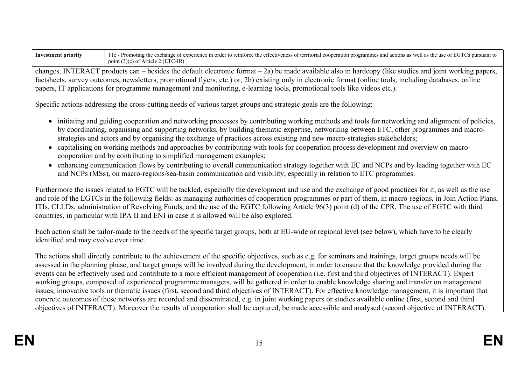| Investment priority | 1 1e - Promoting the exchange of experience in order to reinforce the effectiveness of territorial cooperation programmes and actions as well as the use of EGTCs pursuant to<br>point $(3)(c)$ of Article 2 (ETC-IR) |
|---------------------|-----------------------------------------------------------------------------------------------------------------------------------------------------------------------------------------------------------------------|
|                     |                                                                                                                                                                                                                       |

changes. INTERACT products can – besides the default electronic format – 2a) be made available also in hardcopy (like studies and joint working papers, factsheets, survey outcomes, newsletters, promotional flyers, etc.) or, 2b) existing only in electronic format (online tools, including databases, online papers, IT applications for programme management and monitoring, e-learning tools, promotional tools like videos etc.).

Specific actions addressing the cross-cutting needs of various target groups and strategic goals are the following:

- initiating and guiding cooperation and networking processes by contributing working methods and tools for networking and alignment of policies, by coordinating, organising and supporting networks, by building thematic expertise, networking between ETC, other programmes and macrostrategies and actors and by organising the exchange of practices across existing and new macro-strategies stakeholders;
- capitalising on working methods and approaches by contributing with tools for cooperation process development and overview on macrocooperation and by contributing to simplified management examples;
- enhancing communication flows by contributing to overall communication strategy together with EC and NCPs and by leading together with EC and NCPs (MSs), on macro-regions/sea-basin communication and visibility, especially in relation to ETC programmes.

Furthermore the issues related to EGTC will be tackled, especially the development and use and the exchange of good practices for it, as well as the use and role of the EGTCs in the following fields: as managing authorities of cooperation programmes or part of them, in macro-regions, in Join Action Plans, ITIs, CLLDs, administration of Revolving Funds, and the use of the EGTC following Article 96(3) point (d) of the CPR. The use of EGTC with third countries, in particular with IPA II and ENI in case it is allowed will be also explored.

Each action shall be tailor-made to the needs of the specific target groups, both at EU-wide or regional level (see below), which have to be clearly identified and may evolve over time.

The actions shall directly contribute to the achievement of the specific objectives, such as e.g. for seminars and trainings, target groups needs will be assessed in the planning phase, and target groups will be involved during the development, in order to ensure that the knowledge provided during the events can be effectively used and contribute to a more efficient management of cooperation (i.e. first and third objectives of INTERACT). Expert working groups, composed of experienced programme managers, will be gathered in order to enable knowledge sharing and transfer on management issues, innovative tools or thematic issues (first, second and third objectives of INTERACT). For effective knowledge management, it is important that concrete outcomes of these networks are recorded and disseminated, e.g. in joint working papers or studies available online (first, second and third objectives of INTERACT). Moreover the results of cooperation shall be captured, be made accessible and analysed (second objective of INTERACT).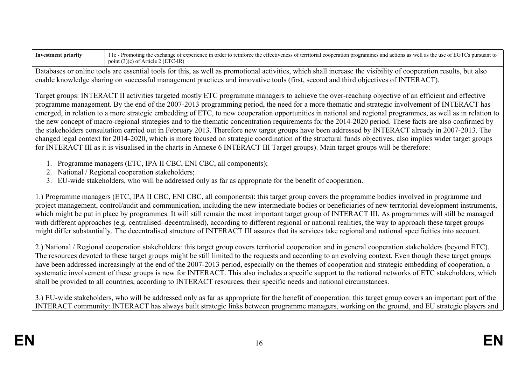| <b>Investment priority</b> | 11e - Promoting the exchange of experience in order to reinforce the effectiveness of territorial cooperation programmes and actions as well as the use of EGTCs pursuant to |
|----------------------------|------------------------------------------------------------------------------------------------------------------------------------------------------------------------------|
|                            | point $(3)(c)$ of Article 2 (ETC-IR)                                                                                                                                         |

Databases or online tools are essential tools for this, as well as promotional activities, which shall increase the visibility of cooperation results, but also enable knowledge sharing on successful management practices and innovative tools (first, second and third objectives of INTERACT).

Target groups: INTERACT II activities targeted mostly ETC programme managers to achieve the over-reaching objective of an efficient and effective programme management. By the end of the 2007-2013 programming period, the need for a more thematic and strategic involvement of INTERACT has emerged, in relation to a more strategic embedding of ETC, to new cooperation opportunities in national and regional programmes, as well as in relation to the new concept of macro-regional strategies and to the thematic concentration requirements for the 2014-2020 period. These facts are also confirmed by the stakeholders consultation carried out in February 2013. Therefore new target groups have been addressed by INTERACT already in 2007-2013. The changed legal context for 2014-2020, which is more focused on strategic coordination of the structural funds objectives, also implies wider target groups for INTERACT III as it is visualised in the charts in Annexe 6 INTERACT III Target groups). Main target groups will be therefore:

- 1. Programme managers (ETC, IPA II CBC, ENI CBC, all components);
- 2. National / Regional cooperation stakeholders;
- 3. EU-wide stakeholders, who will be addressed only as far as appropriate for the benefit of cooperation.

1.) Programme managers (ETC, IPA II CBC, ENI CBC, all components): this target group covers the programme bodies involved in programme and project management, control/audit and communication, including the new intermediate bodies or beneficiaries of new territorial development instruments, which might be put in place by programmes. It will still remain the most important target group of INTERACT III. As programmes will still be managed with different approaches (e.g. centralised–decentralised), according to different regional or national realities, the way to approach these target groups might differ substantially. The decentralised structure of INTERACT III assures that its services take regional and national specificities into account.

2.) National / Regional cooperation stakeholders: this target group covers territorial cooperation and in general cooperation stakeholders (beyond ETC). The resources devoted to these target groups might be still limited to the requests and according to an evolving context. Even though these target groups have been addressed increasingly at the end of the 2007-2013 period, especially on the themes of cooperation and strategic embedding of cooperation, a systematic involvement of these groups is new for INTERACT. This also includes a specific support to the national networks of ETC stakeholders, which shall be provided to all countries, according to INTERACT resources, their specific needs and national circumstances.

3.) EU-wide stakeholders, who will be addressed only as far as appropriate for the benefit of cooperation: this target group covers an important part of the INTERACT community: INTERACT has always built strategic links between programme managers, working on the ground, and EU strategic players and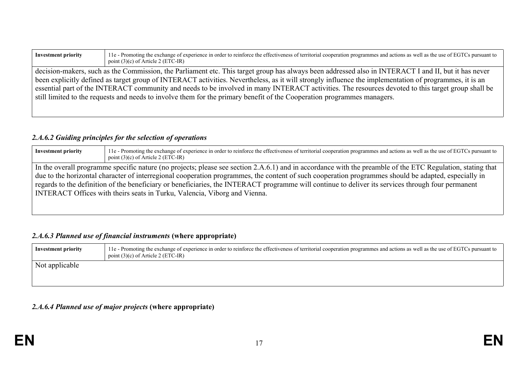| <b>Investment priority</b>                                                                                                                           | 11e - Promoting the exchange of experience in order to reinforce the effectiveness of territorial cooperation programmes and actions as well as the use of EGTCs pursuant to<br>point $(3)(c)$ of Article 2 (ETC-IR) |  |  |  |
|------------------------------------------------------------------------------------------------------------------------------------------------------|----------------------------------------------------------------------------------------------------------------------------------------------------------------------------------------------------------------------|--|--|--|
| decision-makers, such as the Commission, the Parliament etc. This target group has always been addressed also in INTERACT I and II, but it has never |                                                                                                                                                                                                                      |  |  |  |
|                                                                                                                                                      | been explicitly defined as target group of INTERACT activities. Nevertheless, as it will strongly influence the implementation of programmes, it is an                                                               |  |  |  |
| essential part of the INTERACT community and needs to be involved in many INTERACT activities. The resources devoted to this target group shall be   |                                                                                                                                                                                                                      |  |  |  |
| still limited to the requests and needs to involve them for the primary benefit of the Cooperation programmes managers.                              |                                                                                                                                                                                                                      |  |  |  |
|                                                                                                                                                      |                                                                                                                                                                                                                      |  |  |  |

# *2.A.6.2 Guiding principles for the selection of operations*

| <b>Investment priority</b> | 11e - Promoting the exchange of experience in order to reinforce the effectiveness of territorial cooperation programmes and actions as well as the use of EGTCs pursuant to<br>point $(3)(c)$ of Article 2 (ETC-IR)                                                                                                                                                                                                                                                     |  |  |  |  |
|----------------------------|--------------------------------------------------------------------------------------------------------------------------------------------------------------------------------------------------------------------------------------------------------------------------------------------------------------------------------------------------------------------------------------------------------------------------------------------------------------------------|--|--|--|--|
|                            | In the overall programme specific nature (no projects; please see section 2.A.6.1) and in accordance with the preamble of the ETC Regulation, stating that<br>due to the horizontal character of interregional cooperation programmes, the content of such cooperation programmes should be adapted, especially in<br>regards to the definition of the beneficiary or beneficiaries, the INTERACT programme will continue to deliver its services through four permanent |  |  |  |  |
|                            | INTERACT Offices with theirs seats in Turku, Valencia, Viborg and Vienna.                                                                                                                                                                                                                                                                                                                                                                                                |  |  |  |  |

# *2.A.6.3 Planned use of financial instruments* **(where appropriate)**

| Investment priority | 11e - Promoting the exchange of experience in order to reinforce the effectiveness of territorial cooperation programmes and actions as well as the use of EGTCs pursuant to<br>point $(3)(c)$ of Article 2 (ETC-IR) |
|---------------------|----------------------------------------------------------------------------------------------------------------------------------------------------------------------------------------------------------------------|
| Not applicable      |                                                                                                                                                                                                                      |

# *2.A.6.4 Planned use of major projects* **(where appropriate)**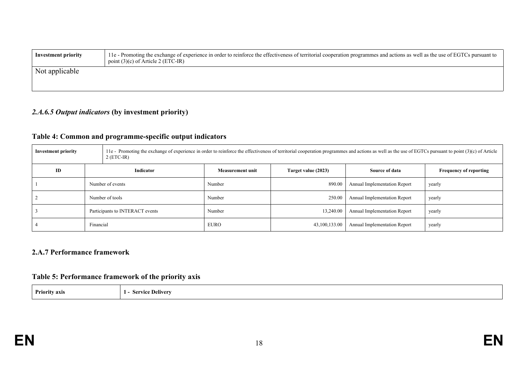| Investment priority | 11e - Promoting the exchange of experience in order to reinforce the effectiveness of territorial cooperation programmes and actions as well as the use of EGTCs pursuant to<br>point $(3)(c)$ of Article 2 (ETC-IR) |
|---------------------|----------------------------------------------------------------------------------------------------------------------------------------------------------------------------------------------------------------------|
| Not applicable      |                                                                                                                                                                                                                      |

# *2.A.6.5 Output indicators* **(by investment priority)**

# **Table 4: Common and programme-specific output indicators**

| <b>Investment priority</b> |                                 | 11e - Promoting the exchange of experience in order to reinforce the effectiveness of territorial cooperation programmes and actions as well as the use of EGTCs pursuant to point (3)(c) of Article<br>$2$ (ETC-IR) |                  |                     |                              |                               |  |  |
|----------------------------|---------------------------------|----------------------------------------------------------------------------------------------------------------------------------------------------------------------------------------------------------------------|------------------|---------------------|------------------------------|-------------------------------|--|--|
| ID                         |                                 | Indicator                                                                                                                                                                                                            | Measurement unit | Target value (2023) | Source of data               | <b>Frequency of reporting</b> |  |  |
|                            | Number of events                |                                                                                                                                                                                                                      | Number           | 890.00              | Annual Implementation Report | yearly                        |  |  |
|                            | Number of tools                 |                                                                                                                                                                                                                      | Number           | 250.00              | Annual Implementation Report | yearly                        |  |  |
|                            | Participants to INTERACT events |                                                                                                                                                                                                                      | Number           | 13,240.00           | Annual Implementation Report | yearly                        |  |  |
|                            | Financial                       |                                                                                                                                                                                                                      | <b>EURO</b>      | 43,100,133.00       | Annual Implementation Report | yearly                        |  |  |

#### **2.A.7 Performance framework**

### **Table 5: Performance framework of the priority axis**

| <b>Priority axis</b> | Alivery |
|----------------------|---------|
|                      |         |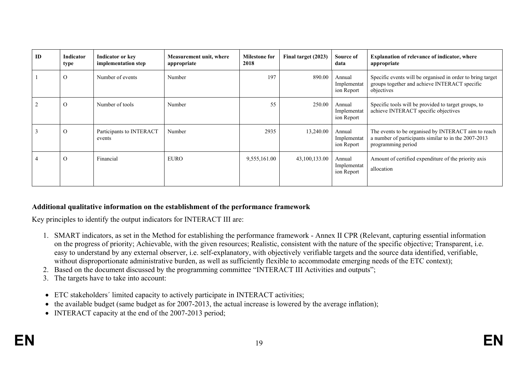| ID | Indicator<br>type | Indicator or key<br>implementation step | Measurement unit, where<br>appropriate | <b>Milestone for</b><br>2018 | Final target (2023) | Source of<br>data                   | <b>Explanation of relevance of indicator, where</b><br>appropriate                                                                |
|----|-------------------|-----------------------------------------|----------------------------------------|------------------------------|---------------------|-------------------------------------|-----------------------------------------------------------------------------------------------------------------------------------|
|    | $\Omega$          | Number of events                        | Number                                 | 197                          | 890.00              | Annual<br>Implementat<br>ion Report | Specific events will be organised in order to bring target<br>groups together and achieve INTERACT specific<br>objectives         |
|    | $\Omega$          | Number of tools                         | Number                                 | 55                           | 250.00              | Annual<br>Implementat<br>ion Report | Specific tools will be provided to target groups, to<br>achieve INTERACT specific objectives                                      |
|    | $\Omega$          | Participants to INTERACT<br>events      | Number                                 | 2935                         | 13,240.00           | Annual<br>Implementat<br>ion Report | The events to be organised by INTERACT aim to reach<br>a number of participants similar to in the 2007-2013<br>programming period |
|    | $\Omega$          | Financial                               | <b>EURO</b>                            | 9,555,161.00                 | 43,100,133.00       | Annual<br>Implementat<br>ion Report | Amount of certified expenditure of the priority axis<br>allocation                                                                |

#### **Additional qualitative information on the establishment of the performance framework**

Key principles to identify the output indicators for INTERACT III are:

- 1. SMART indicators, as set in the Method for establishing the performance framework Annex II CPR (Relevant, capturing essential information on the progress of priority; Achievable, with the given resources; Realistic, consistent with the nature of the specific objective; Transparent, i.e. easy to understand by any external observer, i.e. self-explanatory, with objectively verifiable targets and the source data identified, verifiable, without disproportionate administrative burden, as well as sufficiently flexible to accommodate emerging needs of the ETC context);
- 2. Based on the document discussed by the programming committee "INTERACT III Activities and outputs";
- 3. The targets have to take into account:
- ETC stakeholders´ limited capacity to actively participate in INTERACT activities;
- the available budget (same budget as for 2007-2013, the actual increase is lowered by the average inflation);
- INTERACT capacity at the end of the 2007-2013 period;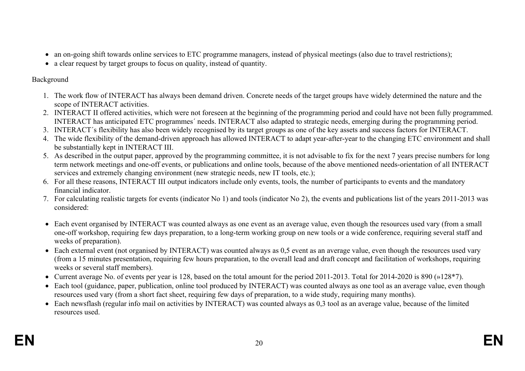- an on-going shift towards online services to ETC programme managers, instead of physical meetings (also due to travel restrictions);
- a clear request by target groups to focus on quality, instead of quantity.

### Background

- 1. The work flow of INTERACT has always been demand driven. Concrete needs of the target groups have widely determined the nature and the scope of INTERACT activities.
- 2. INTERACT II offered activities, which were not foreseen at the beginning of the programming period and could have not been fully programmed. INTERACT has anticipated ETC programmes´ needs. INTERACT also adapted to strategic needs, emerging during the programming period.
- 3. INTERACT´s flexibility has also been widely recognised by its target groups as one of the key assets and success factors for INTERACT.
- 4. The wide flexibility of the demand-driven approach has allowed INTERACT to adapt year-after-year to the changing ETC environment and shall be substantially kept in INTERACT III.
- 5. As described in the output paper, approved by the programming committee, it is not advisable to fix for the next 7 years precise numbers for long term network meetings and one-off events, or publications and online tools, because of the above mentioned needs-orientation of all INTERACT services and extremely changing environment (new strategic needs, new IT tools, etc.);
- 6. For all these reasons, INTERACT III output indicators include only events, tools, the number of participants to events and the mandatory financial indicator.
- 7. For calculating realistic targets for events (indicator No 1) and tools (indicator No 2), the events and publications list of the years 2011-2013 was considered:
- Each event organised by INTERACT was counted always as one event as an average value, even though the resources used vary (from a small one-off workshop, requiring few days preparation, to a long-term working group on new tools or a wide conference, requiring several staff and weeks of preparation).
- Each external event (not organised by INTERACT) was counted always as 0.5 event as an average value, even though the resources used vary (from a 15 minutes presentation, requiring few hours preparation, to the overall lead and draft concept and facilitation of workshops, requiring weeks or several staff members).
- Current average No. of events per year is 128, based on the total amount for the period 2011-2013. Total for 2014-2020 is 890 (»128\*7).
- Each tool (guidance, paper, publication, online tool produced by INTERACT) was counted always as one tool as an average value, even though resources used vary (from a short fact sheet, requiring few days of preparation, to a wide study, requiring many months).
- Each newsflash (regular info mail on activities by INTERACT) was counted always as 0,3 tool as an average value, because of the limited resources used.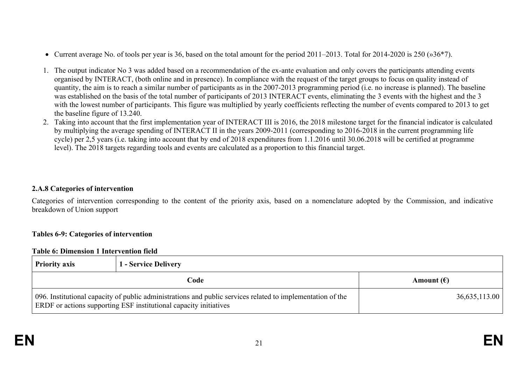- Current average No. of tools per year is 36, based on the total amount for the period 2011–2013. Total for 2014-2020 is 250 (»36\*7).
- 1. The output indicator No 3 was added based on a recommendation of the ex-ante evaluation and only covers the participants attending events organised by INTERACT, (both online and in presence). In compliance with the request of the target groups to focus on quality instead of quantity, the aim is to reach a similar number of participants as in the 2007-2013 programming period (i.e. no increase is planned). The baseline was established on the basis of the total number of participants of 2013 INTERACT events, eliminating the 3 events with the highest and the 3 with the lowest number of participants. This figure was multiplied by yearly coefficients reflecting the number of events compared to 2013 to get the baseline figure of 13.240.
- 2. Taking into account that the first implementation year of INTERACT III is 2016, the 2018 milestone target for the financial indicator is calculated by multiplying the average spending of INTERACT II in the years 2009-2011 (corresponding to 2016-2018 in the current programming life cycle) per 2,5 years (i.e. taking into account that by end of 2018 expenditures from 1.1.2016 until 30.06.2018 will be certified at programme level). The 2018 targets regarding tools and events are calculated as a proportion to this financial target.

#### **2.A.8 Categories of intervention**

Categories of intervention corresponding to the content of the priority axis, based on a nomenclature adopted by the Commission, and indicative breakdown of Union support

#### **Tables 6-9: Categories of intervention**

#### **Table 6: Dimension 1 Intervention field**

| <b>Priority axis</b> | 1 - Service Delivery                                                                                                                                                            |                     |  |  |
|----------------------|---------------------------------------------------------------------------------------------------------------------------------------------------------------------------------|---------------------|--|--|
|                      | Code                                                                                                                                                                            | Amount $(\epsilon)$ |  |  |
|                      | 096. Institutional capacity of public administrations and public services related to implementation of the<br>ERDF or actions supporting ESF institutional capacity initiatives | 36,635,113.00       |  |  |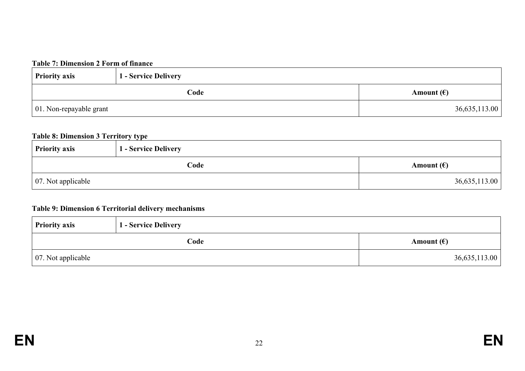#### **Table 7: Dimension 2 Form of finance**

| <b>Priority axis</b>    | 1 - Service Delivery |                     |  |
|-------------------------|----------------------|---------------------|--|
| Code                    |                      | Amount $(\epsilon)$ |  |
| 01. Non-repayable grant |                      | 36,635,113.00       |  |

#### **Table 8: Dimension 3 Territory type**

| <b>Priority axis</b>       | .<br>1 - Service Delivery |                     |  |
|----------------------------|---------------------------|---------------------|--|
|                            | Code                      | Amount $(\epsilon)$ |  |
| $\vert$ 07. Not applicable |                           | 36,635,113.00       |  |

### **Table 9: Dimension 6 Territorial delivery mechanisms**

| <b>Priority axis</b>       | 1 - Service Delivery |                     |  |
|----------------------------|----------------------|---------------------|--|
|                            | Code                 | Amount $(\epsilon)$ |  |
| $\vert$ 07. Not applicable |                      | 36,635,113.00       |  |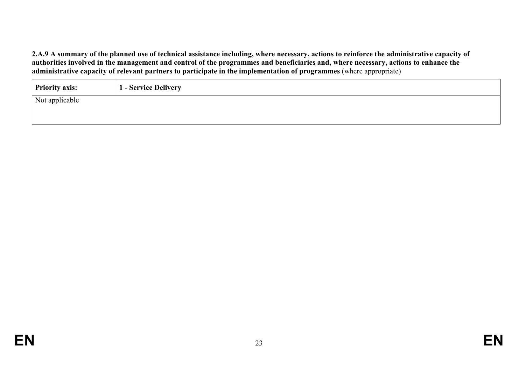2.A.9 A summary of the planned use of technical assistance including, where necessary, actions to reinforce the administrative capacity of authorities involved in the management and control of the programmes and beneficiaries and, where necessary, actions to enhance the **administrative capacity of relevant partners to participate in the implementation of programmes** (where appropriate)

| <b>Priority axis:</b> | 1 - Service Delivery |
|-----------------------|----------------------|
| Not applicable        |                      |
|                       |                      |
|                       |                      |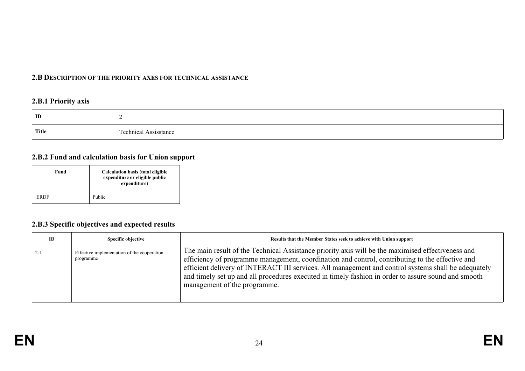#### **2.B DESCRIPTION OF THE PRIORITY AXES FOR TECHNICAL ASSISTANCE**

### **2.B.1 Priority axis**

| ID           |                                                                  |
|--------------|------------------------------------------------------------------|
| <b>Title</b> | $\sim$<br>achnical.<br>, cataata naa<br>ASSISSIANCE<br>wuuntai k |

#### **2.B.2 Fund and calculation basis for Union support**

| Fund        | <b>Calculation basis (total eligible</b><br>expenditure or eligible public<br>expenditure) |
|-------------|--------------------------------------------------------------------------------------------|
| <b>ERDF</b> | Public                                                                                     |

### **2.B.3 Specific objectives and expected results**

| ID | Specific objective                                       | Results that the Member States seek to achieve with Union support                                                                                                                                                                                                                                                                                                                                                                                  |
|----|----------------------------------------------------------|----------------------------------------------------------------------------------------------------------------------------------------------------------------------------------------------------------------------------------------------------------------------------------------------------------------------------------------------------------------------------------------------------------------------------------------------------|
|    | Effective implementation of the cooperation<br>programme | The main result of the Technical Assistance priority axis will be the maximised effectiveness and<br>efficiency of programme management, coordination and control, contributing to the effective and<br>efficient delivery of INTERACT III services. All management and control systems shall be adequately<br>and timely set up and all procedures executed in timely fashion in order to assure sound and smooth<br>management of the programme. |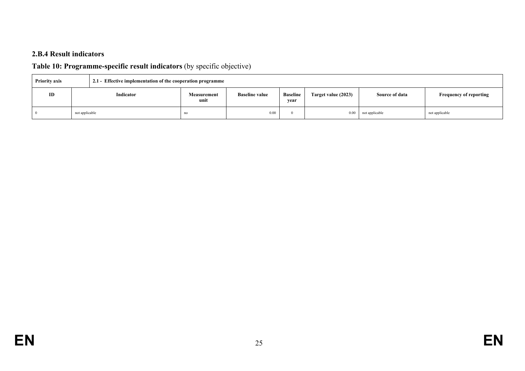### **2.B.4 Result indicators**

# **Table 10: Programme-specific result indicators** (by specific objective)

| <b>Priority axis</b><br>2.1 - Effective implementation of the cooperation programme |    |                |                            |                       |                         |                     |                       |                               |
|-------------------------------------------------------------------------------------|----|----------------|----------------------------|-----------------------|-------------------------|---------------------|-----------------------|-------------------------------|
|                                                                                     | ID | Indicator      | <b>Measurement</b><br>unit | <b>Baseline value</b> | <b>Baseline</b><br>vear | Target value (2023) | <b>Source of data</b> | <b>Frequency of reporting</b> |
|                                                                                     |    | not applicable | no                         | 0.00                  |                         | 0.00                | not applicable        | not applicable                |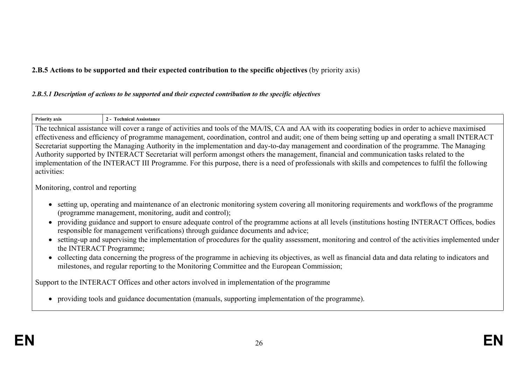**2.B.5 Actions to be supported and their expected contribution to the specific objectives** (by priority axis)

#### *2.B.5.1 Description of actions to be supported and their expected contribution to the specific objectives*

| <b>Priority axis</b>                                                                         | 2 - Technical Assisstance                                                                                                                                                                                                                                                                                                                                                                                                                                                                                                                                                                                                                                                                                                                                                                                                                                                           |  |  |
|----------------------------------------------------------------------------------------------|-------------------------------------------------------------------------------------------------------------------------------------------------------------------------------------------------------------------------------------------------------------------------------------------------------------------------------------------------------------------------------------------------------------------------------------------------------------------------------------------------------------------------------------------------------------------------------------------------------------------------------------------------------------------------------------------------------------------------------------------------------------------------------------------------------------------------------------------------------------------------------------|--|--|
| activities:                                                                                  | The technical assistance will cover a range of activities and tools of the MA/IS, CA and AA with its cooperating bodies in order to achieve maximised<br>effectiveness and efficiency of programme management, coordination, control and audit; one of them being setting up and operating a small INTERACT<br>Secretariat supporting the Managing Authority in the implementation and day-to-day management and coordination of the programme. The Managing<br>Authority supported by INTERACT Secretariat will perform amongst others the management, financial and communication tasks related to the<br>implementation of the INTERACT III Programme. For this purpose, there is a need of professionals with skills and competences to fulfil the following                                                                                                                    |  |  |
| Monitoring, control and reporting                                                            |                                                                                                                                                                                                                                                                                                                                                                                                                                                                                                                                                                                                                                                                                                                                                                                                                                                                                     |  |  |
|                                                                                              | setting up, operating and maintenance of an electronic monitoring system covering all monitoring requirements and workflows of the programme<br>(programme management, monitoring, audit and control);<br>providing guidance and support to ensure adequate control of the programme actions at all levels (institutions hosting INTERACT Offices, bodies<br>responsible for management verifications) through guidance documents and advice;<br>setting-up and supervising the implementation of procedures for the quality assessment, monitoring and control of the activities implemented under<br>the INTERACT Programme;<br>collecting data concerning the progress of the programme in achieving its objectives, as well as financial data and data relating to indicators and<br>milestones, and regular reporting to the Monitoring Committee and the European Commission; |  |  |
| Support to the INTERACT Offices and other actors involved in implementation of the programme |                                                                                                                                                                                                                                                                                                                                                                                                                                                                                                                                                                                                                                                                                                                                                                                                                                                                                     |  |  |
|                                                                                              | providing tools and guidance documentation (manuals, supporting implementation of the programme).                                                                                                                                                                                                                                                                                                                                                                                                                                                                                                                                                                                                                                                                                                                                                                                   |  |  |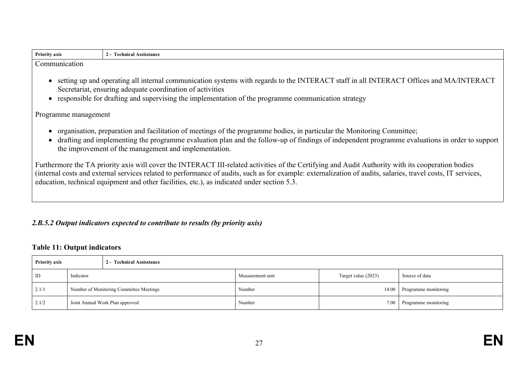| <b>Priority axis</b> | <b>Assisstance</b><br>.<br>ліса<br> |
|----------------------|-------------------------------------|
|                      |                                     |

Communication

- setting up and operating all internal communication systems with regards to the INTERACT staff in all INTERACT Offices and MA/INTERACT Secretariat, ensuring adequate coordination of activities
- responsible for drafting and supervising the implementation of the programme communication strategy

Programme management

- organisation, preparation and facilitation of meetings of the programme bodies, in particular the Monitoring Committee;
- drafting and implementing the programme evaluation plan and the follow-up of findings of independent programme evaluations in order to support the improvement of the management and implementation.

Furthermore the TA priority axis will cover the INTERACT III-related activities of the Certifying and Audit Authority with its cooperation bodies (internal costs and external services related to performance of audits, such as for example: externalization of audits, salaries, travel costs, IT services, education, technical equipment and other facilities, etc.), as indicated under section 5.3.

### *2.B.5.2 Output indicators expected to contribute to results (by priority axis)*

#### **Table 11: Output indicators**

| <b>Priority axis</b><br>2 - Technical Assisstance |                                         |  |                  |                     |                      |
|---------------------------------------------------|-----------------------------------------|--|------------------|---------------------|----------------------|
| ID                                                | Indicator                               |  | Measurement unit | Target value (2023) | Source of data       |
| 2.1/1                                             | Number of Monitoring Committee Meetings |  | Number           | 14.00               | Programme monitoring |
| 2.1/2                                             | Joint Annual Work Plan approved         |  | Number           | 7.00                | Programme monitoring |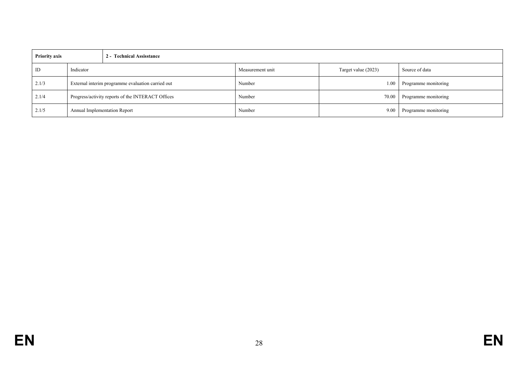| <b>Priority axis</b> |                                                   | 2 - Technical Assisstance    |                  |                     |                      |
|----------------------|---------------------------------------------------|------------------------------|------------------|---------------------|----------------------|
| ID                   | Indicator                                         |                              | Measurement unit | Target value (2023) | Source of data       |
| 2.1/3                | External interim programme evaluation carried out |                              | Number           | $1.00\,$            | Programme monitoring |
| 2.1/4                | Progress/activity reports of the INTERACT Offices |                              | Number           | 70.00               | Programme monitoring |
| 2.1/5                |                                                   | Annual Implementation Report | Number           | 9.00                | Programme monitoring |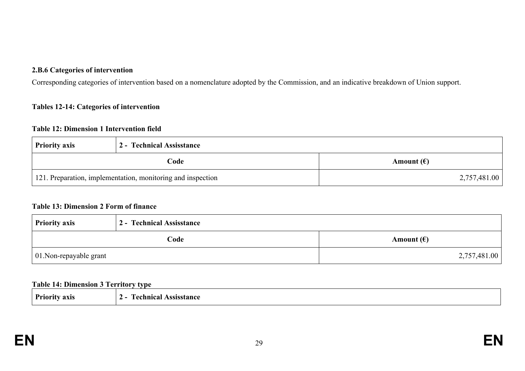#### **2.B.6 Categories of intervention**

Corresponding categories of intervention based on a nomenclature adopted by the Commission, and an indicative breakdown of Union support.

#### **Tables 12-14: Categories of intervention**

#### **Table 12: Dimension 1 Intervention field**

| <b>Priority axis</b>                                        | 2 - Technical Assisstance |                     |
|-------------------------------------------------------------|---------------------------|---------------------|
|                                                             | Code                      | Amount $(\epsilon)$ |
| 121. Preparation, implementation, monitoring and inspection |                           | 2,757,481.00        |

#### **Table 13: Dimension 2 Form of finance**

| <b>Priority axis</b>            | 2 - Technical Assisstance |                     |
|---------------------------------|---------------------------|---------------------|
|                                 | Code                      | Amount $(\epsilon)$ |
| $\vert$ 01. Non-repayable grant |                           | 2,757,481.00        |

#### **Table 14: Dimension 3 Territory type**

| <b>Priority axis</b> | <b>Technical Assisstance</b><br>$2 -$ |
|----------------------|---------------------------------------|
|----------------------|---------------------------------------|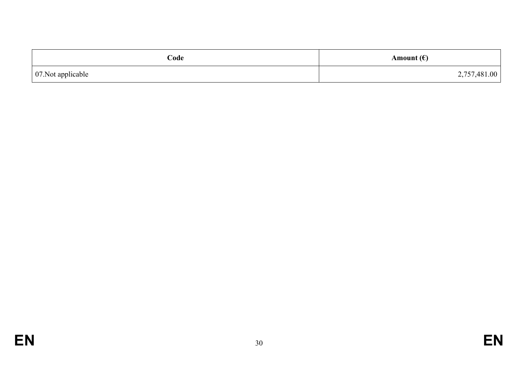| Code                       | Amount $(\epsilon)$ |
|----------------------------|---------------------|
| $\vert$ 07. Not applicable | 2,757,481.00        |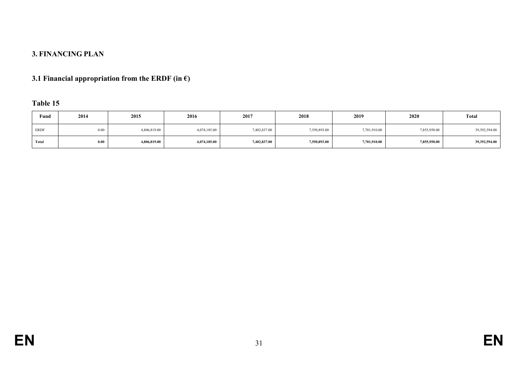# **3. FINANCING PLAN**

# **3.1 Financial appropriation from the ERDF (in**  $\epsilon$ **)**

# **Table 15**

| Fund        | 2014 | 2015         | 2016         | 2017         | 2018         | 2019         | 2020         | <b>Total</b>  |
|-------------|------|--------------|--------------|--------------|--------------|--------------|--------------|---------------|
| <b>ERDF</b> | 0.00 | 4,806,819.00 | 4,074,185.00 | 7,402,837.00 | 7,550,893.00 | 7,701,910.00 | 7,855,950.00 | 39,392,594.00 |
| Total       | 0.00 | 4,806,819.00 | 4,074,185.00 | 7,402,837.00 | 7,550,893.00 | 7,701,910.00 | 7,855,950.00 | 39,392,594.00 |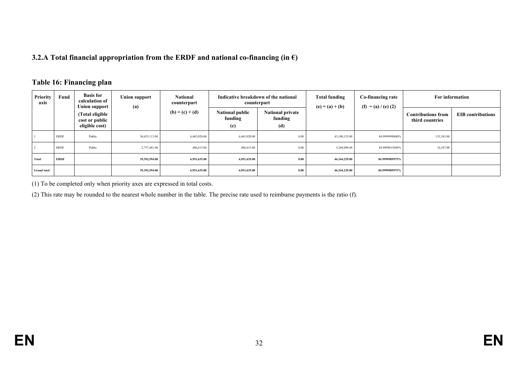#### **3.2.A Total financial appropriation from the ERDF and national co-financing (in €)**

#### **Table 16: Financing plan**

| Priority<br>axis   | Fund        | <b>Basis for</b><br>calculation of<br><b>Union support</b> | <b>Union support</b><br>(a) | <b>National</b><br>counterpart | Indicative breakdown of the national<br>counterpart              |                                           | <b>Total funding</b><br>$(e) = (a) + (b)$ | Co-financing rate<br>$(f) = (a) / (e) (2)$ | For information                              |                          |
|--------------------|-------------|------------------------------------------------------------|-----------------------------|--------------------------------|------------------------------------------------------------------|-------------------------------------------|-------------------------------------------|--------------------------------------------|----------------------------------------------|--------------------------|
|                    |             | (Total eligible<br>cost or public<br>eligible cost)        |                             | $(b) = (c) + (d)$              | <b>National public</b><br>funding<br>$\left( \mathbf{c} \right)$ | <b>National private</b><br>funding<br>(d) |                                           |                                            | <b>Contributions from</b><br>third countries | <b>EIB</b> contributions |
|                    |             |                                                            |                             |                                |                                                                  |                                           |                                           |                                            |                                              |                          |
|                    | <b>ERDF</b> | Public                                                     | 36,635,113.00               | 6,465,020.00                   | 6,465,020.00                                                     | 0.00                                      | 43,100,133.00                             | 84.9999998840%                             | 135,343.00                                   |                          |
|                    | <b>ERDF</b> | Public                                                     | 2,757,481.00                | 486,615.00                     | 486,615.00                                                       | 0.00                                      | 3,244,096.00                              | 84.9999815049%                             | 10,187.00                                    |                          |
| Total              | <b>ERDF</b> |                                                            | 39,392,594.00               | 6,951,635.00                   | 6,951,635.00                                                     | 0.00                                      | 46,344,229.00                             | 84.9999985975%                             |                                              |                          |
| <b>Grand</b> total |             |                                                            | 39,392,594.00               | 6,951,635.00                   | 6,951,635.00                                                     | 0.00                                      | 46,344,229.00                             | 84.9999985975%                             |                                              |                          |

(1) To be completed only when priority axes are expressed in total costs.

(2) This rate may be rounded to the nearest whole number in the table. The precise rate used to reimburse payments is the ratio (f).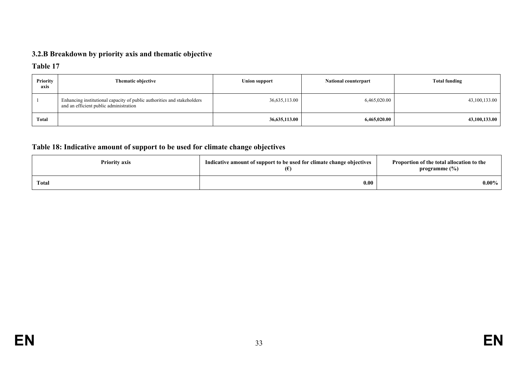# **3.2.B Breakdown by priority axis and thematic objective**

### **Table 17**

| <b>Priority</b><br>axis | Thematic objective                                                                                                | Union support | <b>National counterpart</b> | <b>Total funding</b> |
|-------------------------|-------------------------------------------------------------------------------------------------------------------|---------------|-----------------------------|----------------------|
|                         | Enhancing institutional capacity of public authorities and stakeholders<br>and an efficient public administration | 36,635,113.00 | 6,465,020.00                | 43,100,133.00        |
| Total                   |                                                                                                                   | 36,635,113.00 | 6,465,020.00                | 43,100,133.00        |

### **Table 18: Indicative amount of support to be used for climate change objectives**

| <b>Priority axis</b> | Indicative amount of support to be used for climate change objectives | Proportion of the total allocation to the<br>programme $(\%)$ |
|----------------------|-----------------------------------------------------------------------|---------------------------------------------------------------|
| <b>Total</b>         | 0.00                                                                  | $0.00\%$                                                      |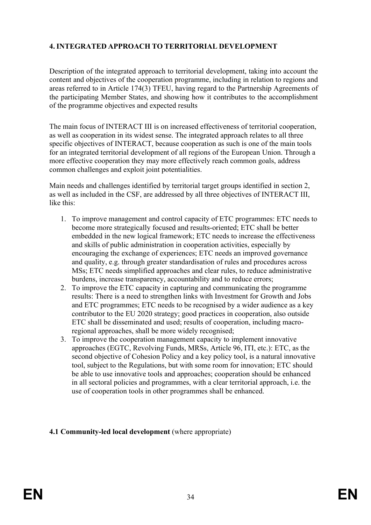# **4. INTEGRATED APPROACH TO TERRITORIAL DEVELOPMENT**

Description of the integrated approach to territorial development, taking into account the content and objectives of the cooperation programme, including in relation to regions and areas referred to in Article 174(3) TFEU, having regard to the Partnership Agreements of the participating Member States, and showing how it contributes to the accomplishment of the programme objectives and expected results

The main focus of INTERACT III is on increased effectiveness of territorial cooperation, as well as cooperation in its widest sense. The integrated approach relates to all three specific objectives of INTERACT, because cooperation as such is one of the main tools for an integrated territorial development of all regions of the European Union. Through a more effective cooperation they may more effectively reach common goals, address common challenges and exploit joint potentialities.

Main needs and challenges identified by territorial target groups identified in section 2, as well as included in the CSF, are addressed by all three objectives of INTERACT III, like this:

- 1. To improve management and control capacity of ETC programmes: ETC needs to become more strategically focused and results-oriented; ETC shall be better embedded in the new logical framework; ETC needs to increase the effectiveness and skills of public administration in cooperation activities, especially by encouraging the exchange of experiences; ETC needs an improved governance and quality, e.g. through greater standardisation of rules and procedures across MSs; ETC needs simplified approaches and clear rules, to reduce administrative burdens, increase transparency, accountability and to reduce errors;
- 2. To improve the ETC capacity in capturing and communicating the programme results: There is a need to strengthen links with Investment for Growth and Jobs and ETC programmes; ETC needs to be recognised by a wider audience as a key contributor to the EU 2020 strategy; good practices in cooperation, also outside ETC shall be disseminated and used; results of cooperation, including macroregional approaches, shall be more widely recognised;
- 3. To improve the cooperation management capacity to implement innovative approaches (EGTC, Revolving Funds, MRSs, Article 96, ITI, etc.): ETC, as the second objective of Cohesion Policy and a key policy tool, is a natural innovative tool, subject to the Regulations, but with some room for innovation; ETC should be able to use innovative tools and approaches; cooperation should be enhanced in all sectoral policies and programmes, with a clear territorial approach, i.e. the use of cooperation tools in other programmes shall be enhanced.

### **4.1 Community-led local development** (where appropriate)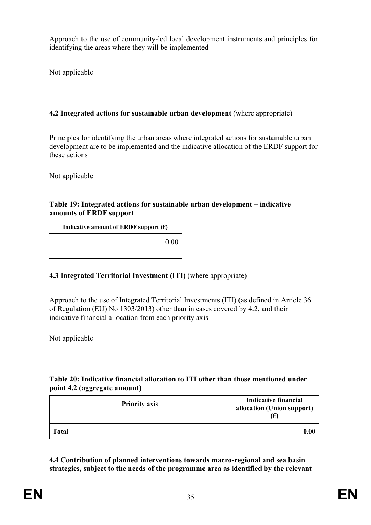Approach to the use of community-led local development instruments and principles for identifying the areas where they will be implemented

Not applicable

## **4.2 Integrated actions for sustainable urban development** (where appropriate)

Principles for identifying the urban areas where integrated actions for sustainable urban development are to be implemented and the indicative allocation of the ERDF support for these actions

Not applicable

#### **Table 19: Integrated actions for sustainable urban development – indicative amounts of ERDF support**

**Indicative amount of ERDF** support  $(\epsilon)$ 0.00

# **4.3 Integrated Territorial Investment (ITI)** (where appropriate)

Approach to the use of Integrated Territorial Investments (ITI) (as defined in Article 36 of Regulation (EU) No 1303/2013) other than in cases covered by 4.2, and their indicative financial allocation from each priority axis

Not applicable

### **Table 20: Indicative financial allocation to ITI other than those mentioned under point 4.2 (aggregate amount)**

| <b>Priority axis</b> | <b>Indicative financial</b><br>allocation (Union support)<br>(€) |
|----------------------|------------------------------------------------------------------|
| <b>Total</b>         | 0.00                                                             |

**4.4 Contribution of planned interventions towards macro-regional and sea basin strategies, subject to the needs of the programme area as identified by the relevant**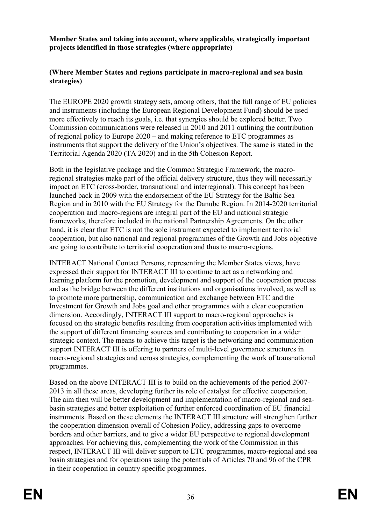**Member States and taking into account, where applicable, strategically important projects identified in those strategies (where appropriate)**

#### **(Where Member States and regions participate in macro-regional and sea basin strategies)**

The EUROPE 2020 growth strategy sets, among others, that the full range of EU policies and instruments (including the European Regional Development Fund) should be used more effectively to reach its goals, i.e. that synergies should be explored better. Two Commission communications were released in 2010 and 2011 outlining the contribution of regional policy to Europe 2020 – and making reference to ETC programmes as instruments that support the delivery of the Union's objectives. The same is stated in the Territorial Agenda 2020 (TA 2020) and in the 5th Cohesion Report.

Both in the legislative package and the Common Strategic Framework, the macroregional strategies make part of the official delivery structure, thus they will necessarily impact on ETC (cross-border, transnational and interregional). This concept has been launched back in 2009 with the endorsement of the EU Strategy for the Baltic Sea Region and in 2010 with the EU Strategy for the Danube Region. In 2014-2020 territorial cooperation and macro-regions are integral part of the EU and national strategic frameworks, therefore included in the national Partnership Agreements. On the other hand, it is clear that ETC is not the sole instrument expected to implement territorial cooperation, but also national and regional programmes of the Growth and Jobs objective are going to contribute to territorial cooperation and thus to macro-regions.

INTERACT National Contact Persons, representing the Member States views, have expressed their support for INTERACT III to continue to act as a networking and learning platform for the promotion, development and support of the cooperation process and as the bridge between the different institutions and organisations involved, as well as to promote more partnership, communication and exchange between ETC and the Investment for Growth and Jobs goal and other programmes with a clear cooperation dimension. Accordingly, INTERACT III support to macro-regional approaches is focused on the strategic benefits resulting from cooperation activities implemented with the support of different financing sources and contributing to cooperation in a wider strategic context. The means to achieve this target is the networking and communication support INTERACT III is offering to partners of multi-level governance structures in macro-regional strategies and across strategies, complementing the work of transnational programmes.

Based on the above INTERACT III is to build on the achievements of the period 2007- 2013 in all these areas, developing further its role of catalyst for effective cooperation. The aim then will be better development and implementation of macro-regional and seabasin strategies and better exploitation of further enforced coordination of EU financial instruments. Based on these elements the INTERACT III structure will strengthen further the cooperation dimension overall of Cohesion Policy, addressing gaps to overcome borders and other barriers, and to give a wider EU perspective to regional development approaches. For achieving this, complementing the work of the Commission in this respect, INTERACT III will deliver support to ETC programmes, macro-regional and sea basin strategies and for operations using the potentials of Articles 70 and 96 of the CPR in their cooperation in country specific programmes.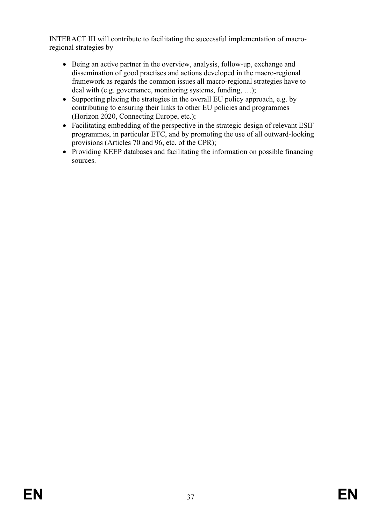INTERACT III will contribute to facilitating the successful implementation of macroregional strategies by

- Being an active partner in the overview, analysis, follow-up, exchange and dissemination of good practises and actions developed in the macro-regional framework as regards the common issues all macro-regional strategies have to deal with (e.g. governance, monitoring systems, funding, …);
- Supporting placing the strategies in the overall EU policy approach, e.g. by contributing to ensuring their links to other EU policies and programmes (Horizon 2020, Connecting Europe, etc.);
- Facilitating embedding of the perspective in the strategic design of relevant ESIF programmes, in particular ETC, and by promoting the use of all outward-looking provisions (Articles 70 and 96, etc. of the CPR);
- Providing KEEP databases and facilitating the information on possible financing sources.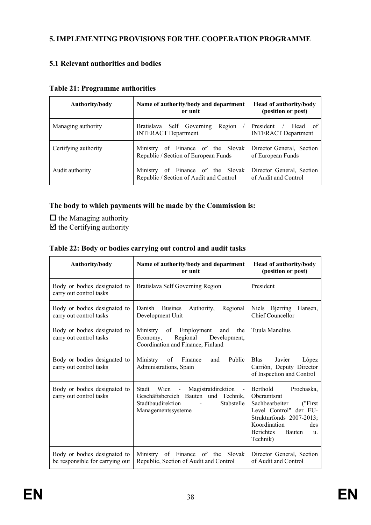# **5. IMPLEMENTING PROVISIONS FOR THE COOPERATION PROGRAMME**

### **5.1 Relevant authorities and bodies**

| Authority/body       | Name of authority/body and department<br>or unit                                | <b>Head of authority/body</b><br>(position or post)  |
|----------------------|---------------------------------------------------------------------------------|------------------------------------------------------|
| Managing authority   | Bratislava Self Governing<br>Region<br><b>INTERACT Department</b>               | President<br>/ Head of<br><b>INTERACT Department</b> |
| Certifying authority | of Finance of the Slovak<br>Ministry<br>Republic / Section of European Funds    | Director General, Section<br>of European Funds       |
| Audit authority      | of Finance of the Slovak<br>Ministry<br>Republic / Section of Audit and Control | Director General, Section<br>of Audit and Control    |

#### **Table 21: Programme authorities**

#### **The body to which payments will be made by the Commission is:**

- $\Box$  the Managing authority
- $\overline{\boxtimes}$  the Certifying authority

#### **Table 22: Body or bodies carrying out control and audit tasks**

| Authority/body                                                  | Name of authority/body and department<br>or unit                                                                                          | Head of authority/body<br>(position or post)                                                                                                                                                    |  |  |
|-----------------------------------------------------------------|-------------------------------------------------------------------------------------------------------------------------------------------|-------------------------------------------------------------------------------------------------------------------------------------------------------------------------------------------------|--|--|
| Body or bodies designated to<br>carry out control tasks         | Bratislava Self Governing Region                                                                                                          | President                                                                                                                                                                                       |  |  |
| Body or bodies designated to<br>carry out control tasks         | Danish<br><b>Busines</b><br>Authority,<br>Regional<br>Development Unit                                                                    | Niels Bjerring<br>Hansen.<br><b>Chief Councellor</b>                                                                                                                                            |  |  |
| Body or bodies designated to<br>carry out control tasks         | Ministry<br>of Employment and<br>the<br>Regional Development,<br>Economy,<br>Coordination and Finance, Finland                            | Tuula Manelius                                                                                                                                                                                  |  |  |
| Body or bodies designated to<br>carry out control tasks         | Public<br>Ministry<br>of Finance<br>and<br>Administrations, Spain                                                                         | Javier<br><b>Blas</b><br>López<br>Carrión, Deputy Director<br>of Inspection and Control                                                                                                         |  |  |
| Body or bodies designated to<br>carry out control tasks         | Stadt Wien - Magistratdirektion -<br>Geschäftsbereich Bauten und Technik,<br>Stadtbaudirektion<br><b>Stabstelle</b><br>Managementssysteme | Berthold<br>Prochaska,<br><b>Oberamtsrat</b><br>Sachbearbeiter<br>("First<br>Level Control" der EU-<br>Strukturfonds 2007-2013;<br>Koordination<br>des<br>Berichtes<br>Bauten<br>u.<br>Technik) |  |  |
| Body or bodies designated to<br>be responsible for carrying out | Ministry of Finance of the<br>Slovak<br>Republic, Section of Audit and Control                                                            | Director General, Section<br>of Audit and Control                                                                                                                                               |  |  |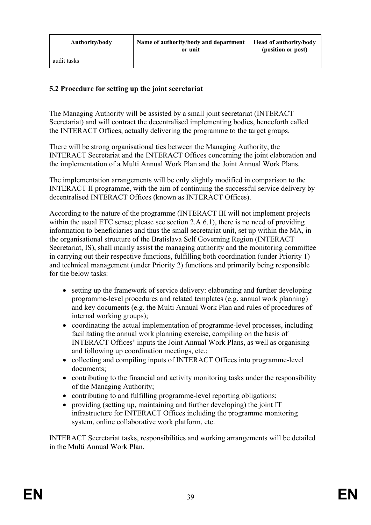| Authority/body | Name of authority/body and department<br>or unit | <b>Head of authority/body</b><br>(position or post) |
|----------------|--------------------------------------------------|-----------------------------------------------------|
| audit tasks    |                                                  |                                                     |

### **5.2 Procedure for setting up the joint secretariat**

The Managing Authority will be assisted by a small joint secretariat (INTERACT Secretariat) and will contract the decentralised implementing bodies, henceforth called the INTERACT Offices, actually delivering the programme to the target groups.

There will be strong organisational ties between the Managing Authority, the INTERACT Secretariat and the INTERACT Offices concerning the joint elaboration and the implementation of a Multi Annual Work Plan and the Joint Annual Work Plans.

The implementation arrangements will be only slightly modified in comparison to the INTERACT II programme, with the aim of continuing the successful service delivery by decentralised INTERACT Offices (known as INTERACT Offices).

According to the nature of the programme (INTERACT III will not implement projects within the usual ETC sense; please see section 2.A.6.1), there is no need of providing information to beneficiaries and thus the small secretariat unit, set up within the MA, in the organisational structure of the Bratislava Self Governing Region (INTERACT Secretariat, IS), shall mainly assist the managing authority and the monitoring committee in carrying out their respective functions, fulfilling both coordination (under Priority 1) and technical management (under Priority 2) functions and primarily being responsible for the below tasks:

- setting up the framework of service delivery: elaborating and further developing programme-level procedures and related templates (e.g. annual work planning) and key documents (e.g. the Multi Annual Work Plan and rules of procedures of internal working groups);
- coordinating the actual implementation of programme-level processes, including facilitating the annual work planning exercise, compiling on the basis of INTERACT Offices' inputs the Joint Annual Work Plans, as well as organising and following up coordination meetings, etc.;
- collecting and compiling inputs of INTERACT Offices into programme-level documents;
- contributing to the financial and activity monitoring tasks under the responsibility of the Managing Authority;
- contributing to and fulfilling programme-level reporting obligations;
- providing (setting up, maintaining and further developing) the joint IT infrastructure for INTERACT Offices including the programme monitoring system, online collaborative work platform, etc.

INTERACT Secretariat tasks, responsibilities and working arrangements will be detailed in the Multi Annual Work Plan.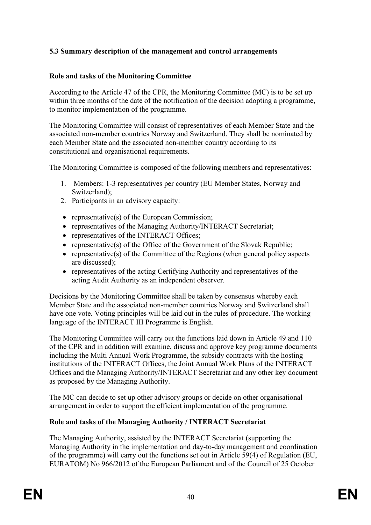# **5.3 Summary description of the management and control arrangements**

#### **Role and tasks of the Monitoring Committee**

According to the Article 47 of the CPR, the Monitoring Committee (MC) is to be set up within three months of the date of the notification of the decision adopting a programme, to monitor implementation of the programme.

The Monitoring Committee will consist of representatives of each Member State and the associated non-member countries Norway and Switzerland. They shall be nominated by each Member State and the associated non-member country according to its constitutional and organisational requirements.

The Monitoring Committee is composed of the following members and representatives:

- 1. Members: 1-3 representatives per country (EU Member States, Norway and Switzerland);
- 2. Participants in an advisory capacity:
- representative(s) of the European Commission;
- representatives of the Managing Authority/INTERACT Secretariat;
- representatives of the INTERACT Offices;
- representative(s) of the Office of the Government of the Slovak Republic;
- representative(s) of the Committee of the Regions (when general policy aspects are discussed);
- representatives of the acting Certifying Authority and representatives of the acting Audit Authority as an independent observer.

Decisions by the Monitoring Committee shall be taken by consensus whereby each Member State and the associated non-member countries Norway and Switzerland shall have one vote. Voting principles will be laid out in the rules of procedure. The working language of the INTERACT III Programme is English.

The Monitoring Committee will carry out the functions laid down in Article 49 and 110 of the CPR and in addition will examine, discuss and approve key programme documents including the Multi Annual Work Programme, the subsidy contracts with the hosting institutions of the INTERACT Offices, the Joint Annual Work Plans of the INTERACT Offices and the Managing Authority/INTERACT Secretariat and any other key document as proposed by the Managing Authority.

The MC can decide to set up other advisory groups or decide on other organisational arrangement in order to support the efficient implementation of the programme.

#### **Role and tasks of the Managing Authority / INTERACT Secretariat**

The Managing Authority, assisted by the INTERACT Secretariat (supporting the Managing Authority in the implementation and day-to-day management and coordination of the programme) will carry out the functions set out in Article 59(4) of Regulation (EU, EURATOM) No 966/2012 of the European Parliament and of the Council of 25 October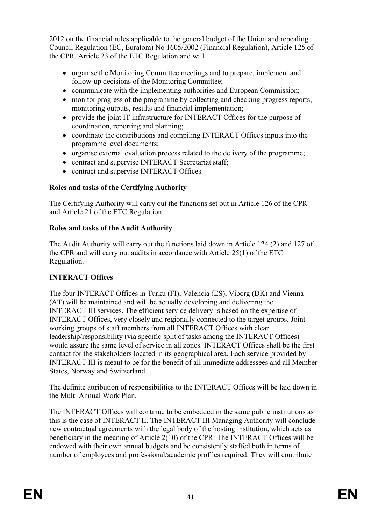2012 on the financial rules applicable to the general budget of the Union and repealing Council Regulation (EC, Euratom) No 1605/2002 (Financial Regulation), Article 125 of the CPR, Article 23 of the ETC Regulation and will

- organise the Monitoring Committee meetings and to prepare, implement and follow-up decisions of the Monitoring Committee;
- communicate with the implementing authorities and European Commission;
- monitor progress of the programme by collecting and checking progress reports, monitoring outputs, results and financial implementation;
- provide the joint IT infrastructure for INTERACT Offices for the purpose of coordination, reporting and planning;
- coordinate the contributions and compiling INTERACT Offices inputs into the programme level documents;
- organise external evaluation process related to the delivery of the programme;
- contract and supervise INTERACT Secretariat staff;
- contract and supervise INTERACT Offices.

# **Roles and tasks of the Certifying Authority**

The Certifying Authority will carry out the functions set out in Article 126 of the CPR and Article 21 of the ETC Regulation.

# **Roles and tasks of the Audit Authority**

The Audit Authority will carry out the functions laid down in Article 124 (2) and 127 of the CPR and will carry out audits in accordance with Article 25(1) of the ETC Regulation.

# **INTERACT Offices**

The four INTERACT Offices in Turku (FI), Valencia (ES), Viborg (DK) and Vienna (AT) will be maintained and will be actually developing and delivering the INTERACT III services. The efficient service delivery is based on the expertise of INTERACT Offices, very closely and regionally connected to the target groups. Joint working groups of staff members from all INTERACT Offices with clear leadership/responsibility (via specific split of tasks among the INTERACT Offices) would assure the same level of service in all zones. INTERACT Offices shall be the first contact for the stakeholders located in its geographical area. Each service provided by INTERACT III is meant to be for the benefit of all immediate addressees and all Member States, Norway and Switzerland.

The definite attribution of responsibilities to the INTERACT Offices will be laid down in the Multi Annual Work Plan.

The INTERACT Offices will continue to be embedded in the same public institutions as this is the case of INTERACT II. The INTERACT III Managing Authority will conclude new contractual agreements with the legal body of the hosting institution, which acts as beneficiary in the meaning of Article 2(10) of the CPR. The INTERACT Offices will be endowed with their own annual budgets and be consistently staffed both in terms of number of employees and professional/academic profiles required. They will contribute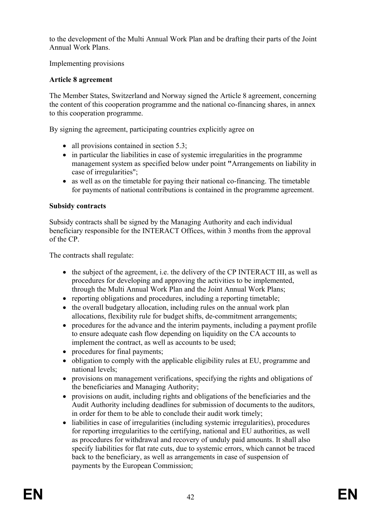to the development of the Multi Annual Work Plan and be drafting their parts of the Joint Annual Work Plans.

Implementing provisions

# **Article 8 agreement**

The Member States, Switzerland and Norway signed the Article 8 agreement, concerning the content of this cooperation programme and the national co-financing shares, in annex to this cooperation programme.

By signing the agreement, participating countries explicitly agree on

- all provisions contained in section 5.3;
- in particular the liabilities in case of systemic irregularities in the programme management system as specified below under point **"**Arrangements on liability in case of irregularities";
- as well as on the timetable for paying their national co-financing. The timetable for payments of national contributions is contained in the programme agreement.

### **Subsidy contracts**

Subsidy contracts shall be signed by the Managing Authority and each individual beneficiary responsible for the INTERACT Offices, within 3 months from the approval of the CP.

The contracts shall regulate:

- the subject of the agreement, i.e. the delivery of the CP INTERACT III, as well as procedures for developing and approving the activities to be implemented, through the Multi Annual Work Plan and the Joint Annual Work Plans;
- reporting obligations and procedures, including a reporting timetable;
- the overall budgetary allocation, including rules on the annual work plan allocations, flexibility rule for budget shifts, de-commitment arrangements;
- procedures for the advance and the interim payments, including a payment profile to ensure adequate cash flow depending on liquidity on the CA accounts to implement the contract, as well as accounts to be used;
- procedures for final payments:
- obligation to comply with the applicable eligibility rules at EU, programme and national levels;
- provisions on management verifications, specifying the rights and obligations of the beneficiaries and Managing Authority;
- provisions on audit, including rights and obligations of the beneficiaries and the Audit Authority including deadlines for submission of documents to the auditors, in order for them to be able to conclude their audit work timely;
- liabilities in case of irregularities (including systemic irregularities), procedures for reporting irregularities to the certifying, national and EU authorities, as well as procedures for withdrawal and recovery of unduly paid amounts. It shall also specify liabilities for flat rate cuts, due to systemic errors, which cannot be traced back to the beneficiary, as well as arrangements in case of suspension of payments by the European Commission;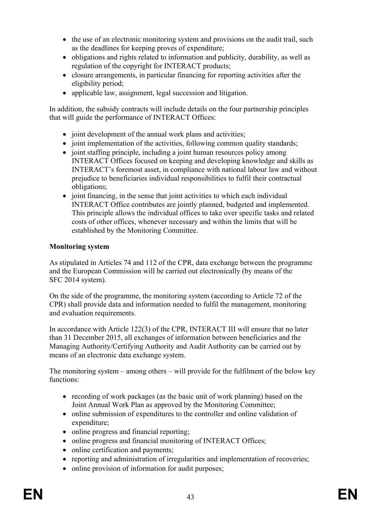- $\bullet$  the use of an electronic monitoring system and provisions on the audit trail, such as the deadlines for keeping proves of expenditure;
- obligations and rights related to information and publicity, durability, as well as regulation of the copyright for INTERACT products;
- closure arrangements, in particular financing for reporting activities after the eligibility period;
- applicable law, assignment, legal succession and litigation.

In addition, the subsidy contracts will include details on the four partnership principles that will guide the performance of INTERACT Offices:

- joint development of the annual work plans and activities;
- joint implementation of the activities, following common quality standards;
- joint staffing principle, including a joint human resources policy among INTERACT Offices focused on keeping and developing knowledge and skills as INTERACT's foremost asset, in compliance with national labour law and without prejudice to beneficiaries individual responsibilities to fulfil their contractual obligations;
- $\bullet$  joint financing, in the sense that joint activities to which each individual INTERACT Office contributes are jointly planned, budgeted and implemented. This principle allows the individual offices to take over specific tasks and related costs of other offices, whenever necessary and within the limits that will be established by the Monitoring Committee.

### **Monitoring system**

As stipulated in Articles 74 and 112 of the CPR, data exchange between the programme and the European Commission will be carried out electronically (by means of the SFC 2014 system).

On the side of the programme, the monitoring system (according to Article 72 of the CPR) shall provide data and information needed to fulfil the management, monitoring and evaluation requirements.

In accordance with Article 122(3) of the CPR, INTERACT III will ensure that no later than 31 December 2015, all exchanges of information between beneficiaries and the Managing Authority/Certifying Authority and Audit Authority can be carried out by means of an electronic data exchange system.

The monitoring system – among others – will provide for the fulfilment of the below key functions:

- recording of work packages (as the basic unit of work planning) based on the Joint Annual Work Plan as approved by the Monitoring Committee;
- online submission of expenditures to the controller and online validation of expenditure;
- online progress and financial reporting;
- online progress and financial monitoring of INTERACT Offices;
- online certification and payments;
- reporting and administration of irregularities and implementation of recoveries;
- online provision of information for audit purposes;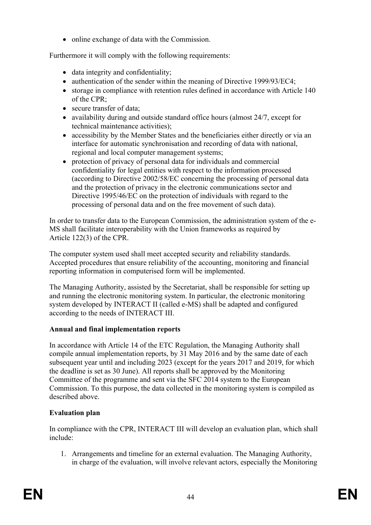• online exchange of data with the Commission.

Furthermore it will comply with the following requirements:

- data integrity and confidentiality;
- authentication of the sender within the meaning of Directive 1999/93/EC4;
- storage in compliance with retention rules defined in accordance with Article 140 of the CPR;
- secure transfer of data;
- availability during and outside standard office hours (almost 24/7, except for technical maintenance activities);
- accessibility by the Member States and the beneficiaries either directly or via an interface for automatic synchronisation and recording of data with national, regional and local computer management systems;
- protection of privacy of personal data for individuals and commercial confidentiality for legal entities with respect to the information processed (according to Directive 2002/58/EC concerning the processing of personal data and the protection of privacy in the electronic communications sector and Directive 1995/46/EC on the protection of individuals with regard to the processing of personal data and on the free movement of such data).

In order to transfer data to the European Commission, the administration system of the e-MS shall facilitate interoperability with the Union frameworks as required by Article 122(3) of the CPR.

The computer system used shall meet accepted security and reliability standards. Accepted procedures that ensure reliability of the accounting, monitoring and financial reporting information in computerised form will be implemented.

The Managing Authority, assisted by the Secretariat, shall be responsible for setting up and running the electronic monitoring system. In particular, the electronic monitoring system developed by INTERACT II (called e-MS) shall be adapted and configured according to the needs of INTERACT III.

# **Annual and final implementation reports**

In accordance with Article 14 of the ETC Regulation, the Managing Authority shall compile annual implementation reports, by 31 May 2016 and by the same date of each subsequent year until and including 2023 (except for the years 2017 and 2019, for which the deadline is set as 30 June). All reports shall be approved by the Monitoring Committee of the programme and sent via the SFC 2014 system to the European Commission. To this purpose, the data collected in the monitoring system is compiled as described above.

# **Evaluation plan**

In compliance with the CPR, INTERACT III will develop an evaluation plan, which shall include:

1. Arrangements and timeline for an external evaluation. The Managing Authority, in charge of the evaluation, will involve relevant actors, especially the Monitoring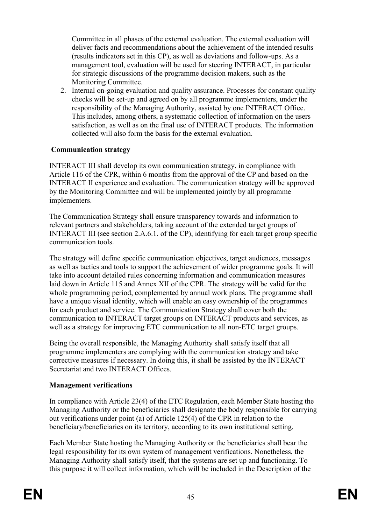Committee in all phases of the external evaluation. The external evaluation will deliver facts and recommendations about the achievement of the intended results (results indicators set in this CP), as well as deviations and follow-ups. As a management tool, evaluation will be used for steering INTERACT, in particular for strategic discussions of the programme decision makers, such as the Monitoring Committee.

2. Internal on-going evaluation and quality assurance. Processes for constant quality checks will be set-up and agreed on by all programme implementers, under the responsibility of the Managing Authority, assisted by one INTERACT Office. This includes, among others, a systematic collection of information on the users satisfaction, as well as on the final use of INTERACT products. The information collected will also form the basis for the external evaluation.

### **Communication strategy**

INTERACT III shall develop its own communication strategy, in compliance with Article 116 of the CPR, within 6 months from the approval of the CP and based on the INTERACT II experience and evaluation. The communication strategy will be approved by the Monitoring Committee and will be implemented jointly by all programme implementers.

The Communication Strategy shall ensure transparency towards and information to relevant partners and stakeholders, taking account of the extended target groups of INTERACT III (see section 2.A.6.1. of the CP), identifying for each target group specific communication tools.

The strategy will define specific communication objectives, target audiences, messages as well as tactics and tools to support the achievement of wider programme goals. It will take into account detailed rules concerning information and communication measures laid down in Article 115 and Annex XII of the CPR. The strategy will be valid for the whole programming period, complemented by annual work plans. The programme shall have a unique visual identity, which will enable an easy ownership of the programmes for each product and service. The Communication Strategy shall cover both the communication to INTERACT target groups on INTERACT products and services, as well as a strategy for improving ETC communication to all non-ETC target groups.

Being the overall responsible, the Managing Authority shall satisfy itself that all programme implementers are complying with the communication strategy and take corrective measures if necessary. In doing this, it shall be assisted by the INTERACT Secretariat and two INTERACT Offices.

# **Management verifications**

In compliance with Article 23(4) of the ETC Regulation, each Member State hosting the Managing Authority or the beneficiaries shall designate the body responsible for carrying out verifications under point (a) of Article 125(4) of the CPR in relation to the beneficiary/beneficiaries on its territory, according to its own institutional setting.

Each Member State hosting the Managing Authority or the beneficiaries shall bear the legal responsibility for its own system of management verifications. Nonetheless, the Managing Authority shall satisfy itself, that the systems are set up and functioning. To this purpose it will collect information, which will be included in the Description of the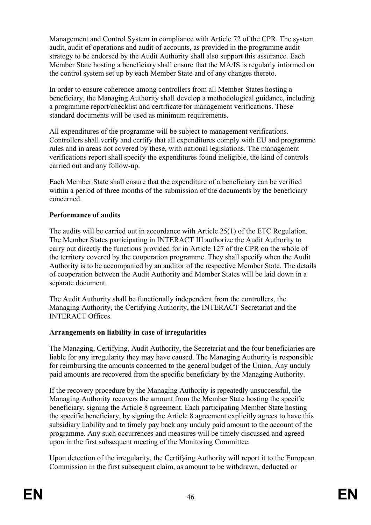Management and Control System in compliance with Article 72 of the CPR. The system audit, audit of operations and audit of accounts, as provided in the programme audit strategy to be endorsed by the Audit Authority shall also support this assurance. Each Member State hosting a beneficiary shall ensure that the MA/IS is regularly informed on the control system set up by each Member State and of any changes thereto.

In order to ensure coherence among controllers from all Member States hosting a beneficiary, the Managing Authority shall develop a methodological guidance, including a programme report/checklist and certificate for management verifications. These standard documents will be used as minimum requirements.

All expenditures of the programme will be subject to management verifications. Controllers shall verify and certify that all expenditures comply with EU and programme rules and in areas not covered by these, with national legislations. The management verifications report shall specify the expenditures found ineligible, the kind of controls carried out and any follow-up.

Each Member State shall ensure that the expenditure of a beneficiary can be verified within a period of three months of the submission of the documents by the beneficiary concerned.

### **Performance of audits**

The audits will be carried out in accordance with Article 25(1) of the ETC Regulation. The Member States participating in INTERACT III authorize the Audit Authority to carry out directly the functions provided for in Article 127 of the CPR on the whole of the territory covered by the cooperation programme. They shall specify when the Audit Authority is to be accompanied by an auditor of the respective Member State. The details of cooperation between the Audit Authority and Member States will be laid down in a separate document.

The Audit Authority shall be functionally independent from the controllers, the Managing Authority, the Certifying Authority, the INTERACT Secretariat and the INTERACT Offices.

### **Arrangements on liability in case of irregularities**

The Managing, Certifying, Audit Authority, the Secretariat and the four beneficiaries are liable for any irregularity they may have caused. The Managing Authority is responsible for reimbursing the amounts concerned to the general budget of the Union. Any unduly paid amounts are recovered from the specific beneficiary by the Managing Authority.

If the recovery procedure by the Managing Authority is repeatedly unsuccessful, the Managing Authority recovers the amount from the Member State hosting the specific beneficiary, signing the Article 8 agreement. Each participating Member State hosting the specific beneficiary, by signing the Article 8 agreement explicitly agrees to have this subsidiary liability and to timely pay back any unduly paid amount to the account of the programme. Any such occurrences and measures will be timely discussed and agreed upon in the first subsequent meeting of the Monitoring Committee.

Upon detection of the irregularity, the Certifying Authority will report it to the European Commission in the first subsequent claim, as amount to be withdrawn, deducted or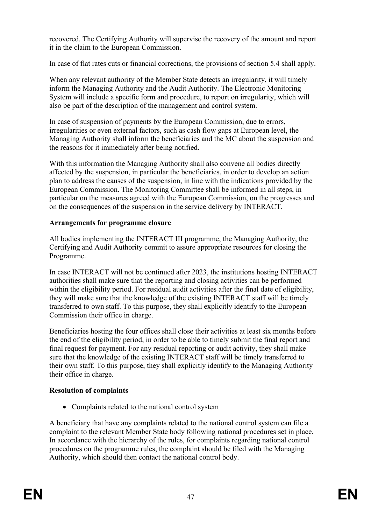recovered. The Certifying Authority will supervise the recovery of the amount and report it in the claim to the European Commission.

In case of flat rates cuts or financial corrections, the provisions of section 5.4 shall apply.

When any relevant authority of the Member State detects an irregularity, it will timely inform the Managing Authority and the Audit Authority. The Electronic Monitoring System will include a specific form and procedure, to report on irregularity, which will also be part of the description of the management and control system.

In case of suspension of payments by the European Commission, due to errors, irregularities or even external factors, such as cash flow gaps at European level, the Managing Authority shall inform the beneficiaries and the MC about the suspension and the reasons for it immediately after being notified.

With this information the Managing Authority shall also convene all bodies directly affected by the suspension, in particular the beneficiaries, in order to develop an action plan to address the causes of the suspension, in line with the indications provided by the European Commission. The Monitoring Committee shall be informed in all steps, in particular on the measures agreed with the European Commission, on the progresses and on the consequences of the suspension in the service delivery by INTERACT.

# **Arrangements for programme closure**

All bodies implementing the INTERACT III programme, the Managing Authority, the Certifying and Audit Authority commit to assure appropriate resources for closing the Programme.

In case INTERACT will not be continued after 2023, the institutions hosting INTERACT authorities shall make sure that the reporting and closing activities can be performed within the eligibility period. For residual audit activities after the final date of eligibility, they will make sure that the knowledge of the existing INTERACT staff will be timely transferred to own staff. To this purpose, they shall explicitly identify to the European Commission their office in charge.

Beneficiaries hosting the four offices shall close their activities at least six months before the end of the eligibility period, in order to be able to timely submit the final report and final request for payment. For any residual reporting or audit activity, they shall make sure that the knowledge of the existing INTERACT staff will be timely transferred to their own staff. To this purpose, they shall explicitly identify to the Managing Authority their office in charge.

# **Resolution of complaints**

• Complaints related to the national control system

A beneficiary that have any complaints related to the national control system can file a complaint to the relevant Member State body following national procedures set in place. In accordance with the hierarchy of the rules, for complaints regarding national control procedures on the programme rules, the complaint should be filed with the Managing Authority, which should then contact the national control body.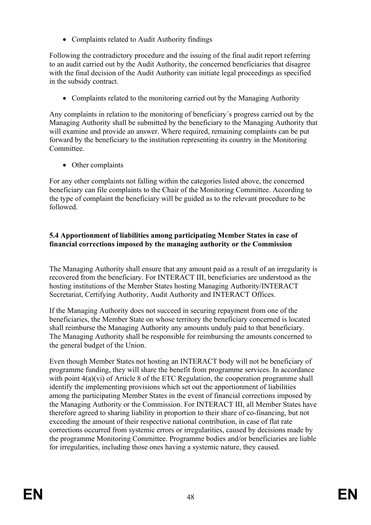Complaints related to Audit Authority findings

Following the contradictory procedure and the issuing of the final audit report referring to an audit carried out by the Audit Authority, the concerned beneficiaries that disagree with the final decision of the Audit Authority can initiate legal proceedings as specified in the subsidy contract.

• Complaints related to the monitoring carried out by the Managing Authority

Any complaints in relation to the monitoring of beneficiary´s progress carried out by the Managing Authority shall be submitted by the beneficiary to the Managing Authority that will examine and provide an answer. Where required, remaining complaints can be put forward by the beneficiary to the institution representing its country in the Monitoring **Committee** 

• Other complaints

For any other complaints not falling within the categories listed above, the concerned beneficiary can file complaints to the Chair of the Monitoring Committee. According to the type of complaint the beneficiary will be guided as to the relevant procedure to be followed.

## **5.4 Apportionment of liabilities among participating Member States in case of financial corrections imposed by the managing authority or the Commission**

The Managing Authority shall ensure that any amount paid as a result of an irregularity is recovered from the beneficiary. For INTERACT III, beneficiaries are understood as the hosting institutions of the Member States hosting Managing Authority/INTERACT Secretariat, Certifying Authority, Audit Authority and INTERACT Offices.

If the Managing Authority does not succeed in securing repayment from one of the beneficiaries, the Member State on whose territory the beneficiary concerned is located shall reimburse the Managing Authority any amounts unduly paid to that beneficiary. The Managing Authority shall be responsible for reimbursing the amounts concerned to the general budget of the Union.

Even though Member States not hosting an INTERACT body will not be beneficiary of programme funding, they will share the benefit from programme services. In accordance with point  $4(a)(vi)$  of Article 8 of the ETC Regulation, the cooperation programme shall identify the implementing provisions which set out the apportionment of liabilities among the participating Member States in the event of financial corrections imposed by the Managing Authority or the Commission. For INTERACT III, all Member States have therefore agreed to sharing liability in proportion to their share of co-financing, but not exceeding the amount of their respective national contribution, in case of flat rate corrections occurred from systemic errors or irregularities, caused by decisions made by the programme Monitoring Committee. Programme bodies and/or beneficiaries are liable for irregularities, including those ones having a systemic nature, they caused.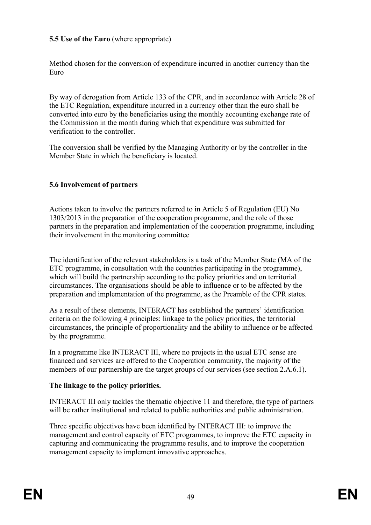# **5.5 Use of the Euro** (where appropriate)

Method chosen for the conversion of expenditure incurred in another currency than the Euro

By way of derogation from Article 133 of the CPR, and in accordance with Article 28 of the ETC Regulation, expenditure incurred in a currency other than the euro shall be converted into euro by the beneficiaries using the monthly accounting exchange rate of the Commission in the month during which that expenditure was submitted for verification to the controller.

The conversion shall be verified by the Managing Authority or by the controller in the Member State in which the beneficiary is located.

### **5.6 Involvement of partners**

Actions taken to involve the partners referred to in Article 5 of Regulation (EU) No 1303/2013 in the preparation of the cooperation programme, and the role of those partners in the preparation and implementation of the cooperation programme, including their involvement in the monitoring committee

The identification of the relevant stakeholders is a task of the Member State (MA of the ETC programme, in consultation with the countries participating in the programme), which will build the partnership according to the policy priorities and on territorial circumstances. The organisations should be able to influence or to be affected by the preparation and implementation of the programme, as the Preamble of the CPR states.

As a result of these elements, INTERACT has established the partners' identification criteria on the following 4 principles: linkage to the policy priorities, the territorial circumstances, the principle of proportionality and the ability to influence or be affected by the programme.

In a programme like INTERACT III, where no projects in the usual ETC sense are financed and services are offered to the Cooperation community, the majority of the members of our partnership are the target groups of our services (see section 2.A.6.1).

### **The linkage to the policy priorities.**

INTERACT III only tackles the thematic objective 11 and therefore, the type of partners will be rather institutional and related to public authorities and public administration.

Three specific objectives have been identified by INTERACT III: to improve the management and control capacity of ETC programmes, to improve the ETC capacity in capturing and communicating the programme results, and to improve the cooperation management capacity to implement innovative approaches.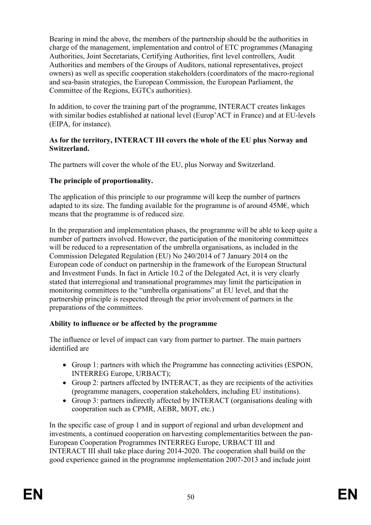Bearing in mind the above, the members of the partnership should be the authorities in charge of the management, implementation and control of ETC programmes (Managing Authorities, Joint Secretariats, Certifying Authorities, first level controllers, Audit Authorities and members of the Groups of Auditors, national representatives, project owners) as well as specific cooperation stakeholders (coordinators of the macro-regional and sea-basin strategies, the European Commission, the European Parliament, the Committee of the Regions, EGTCs authorities).

In addition, to cover the training part of the programme, INTERACT creates linkages with similar bodies established at national level (Europ'ACT in France) and at EU-levels (EIPA, for instance).

#### **As for the territory, INTERACT III covers the whole of the EU plus Norway and Switzerland.**

The partners will cover the whole of the EU, plus Norway and Switzerland.

### **The principle of proportionality.**

The application of this principle to our programme will keep the number of partners adapted to its size. The funding available for the programme is of around  $45M\epsilon$ , which means that the programme is of reduced size.

In the preparation and implementation phases, the programme will be able to keep quite a number of partners involved. However, the participation of the monitoring committees will be reduced to a representation of the umbrella organisations, as included in the Commission Delegated Regulation (EU) No 240/2014 of 7 January 2014 on the European code of conduct on partnership in the framework of the European Structural and Investment Funds. In fact in Article 10.2 of the Delegated Act, it is very clearly stated that interregional and transnational programmes may limit the participation in monitoring committees to the "umbrella organisations" at EU level, and that the partnership principle is respected through the prior involvement of partners in the preparations of the committees.

### **Ability to influence or be affected by the programme**

The influence or level of impact can vary from partner to partner. The main partners identified are

- Group 1: partners with which the Programme has connecting activities (ESPON, INTERREG Europe, URBACT);
- Group 2: partners affected by INTERACT, as they are recipients of the activities (programme managers, cooperation stakeholders, including EU institutions).
- Group 3: partners indirectly affected by INTERACT (organisations dealing with cooperation such as CPMR, AEBR, MOT, etc.)

In the specific case of group 1 and in support of regional and urban development and investments, a continued cooperation on harvesting complementarities between the pan-European Cooperation Programmes INTERREG Europe, URBACT III and INTERACT III shall take place during 2014-2020. The cooperation shall build on the good experience gained in the programme implementation 2007-2013 and include joint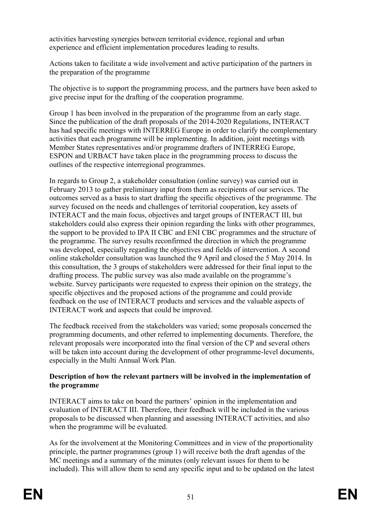activities harvesting synergies between territorial evidence, regional and urban experience and efficient implementation procedures leading to results.

Actions taken to facilitate a wide involvement and active participation of the partners in the preparation of the programme

The objective is to support the programming process, and the partners have been asked to give precise input for the drafting of the cooperation programme.

Group 1 has been involved in the preparation of the programme from an early stage. Since the publication of the draft proposals of the 2014-2020 Regulations, INTERACT has had specific meetings with INTERREG Europe in order to clarify the complementary activities that each programme will be implementing. In addition, joint meetings with Member States representatives and/or programme drafters of INTERREG Europe, ESPON and URBACT have taken place in the programming process to discuss the outlines of the respective interregional programmes.

In regards to Group 2, a stakeholder consultation (online survey) was carried out in February 2013 to gather preliminary input from them as recipients of our services. The outcomes served as a basis to start drafting the specific objectives of the programme. The survey focused on the needs and challenges of territorial cooperation, key assets of INTERACT and the main focus, objectives and target groups of INTERACT III, but stakeholders could also express their opinion regarding the links with other programmes, the support to be provided to IPA II CBC and ENI CBC programmes and the structure of the programme. The survey results reconfirmed the direction in which the programme was developed, especially regarding the objectives and fields of intervention. A second online stakeholder consultation was launched the 9 April and closed the 5 May 2014. In this consultation, the 3 groups of stakeholders were addressed for their final input to the drafting process. The public survey was also made available on the programme's website. Survey participants were requested to express their opinion on the strategy, the specific objectives and the proposed actions of the programme and could provide feedback on the use of INTERACT products and services and the valuable aspects of INTERACT work and aspects that could be improved.

The feedback received from the stakeholders was varied; some proposals concerned the programming documents, and other referred to implementing documents. Therefore, the relevant proposals were incorporated into the final version of the CP and several others will be taken into account during the development of other programme-level documents, especially in the Multi Annual Work Plan.

#### **Description of how the relevant partners will be involved in the implementation of the programme**

INTERACT aims to take on board the partners' opinion in the implementation and evaluation of INTERACT III. Therefore, their feedback will be included in the various proposals to be discussed when planning and assessing INTERACT activities, and also when the programme will be evaluated.

As for the involvement at the Monitoring Committees and in view of the proportionality principle, the partner programmes (group 1) will receive both the draft agendas of the MC meetings and a summary of the minutes (only relevant issues for them to be included). This will allow them to send any specific input and to be updated on the latest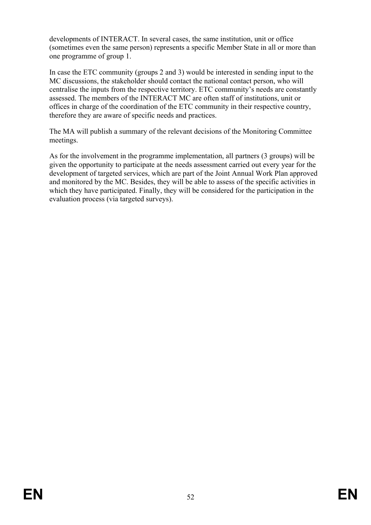developments of INTERACT. In several cases, the same institution, unit or office (sometimes even the same person) represents a specific Member State in all or more than one programme of group 1.

In case the ETC community (groups 2 and 3) would be interested in sending input to the MC discussions, the stakeholder should contact the national contact person, who will centralise the inputs from the respective territory. ETC community's needs are constantly assessed. The members of the INTERACT MC are often staff of institutions, unit or offices in charge of the coordination of the ETC community in their respective country, therefore they are aware of specific needs and practices.

The MA will publish a summary of the relevant decisions of the Monitoring Committee meetings.

As for the involvement in the programme implementation, all partners (3 groups) will be given the opportunity to participate at the needs assessment carried out every year for the development of targeted services, which are part of the Joint Annual Work Plan approved and monitored by the MC. Besides, they will be able to assess of the specific activities in which they have participated. Finally, they will be considered for the participation in the evaluation process (via targeted surveys).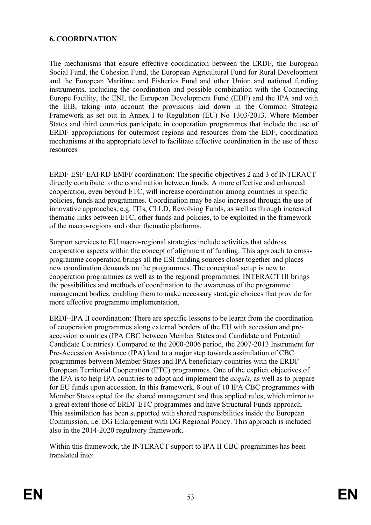### **6. COORDINATION**

The mechanisms that ensure effective coordination between the ERDF, the European Social Fund, the Cohesion Fund, the European Agricultural Fund for Rural Development and the European Maritime and Fisheries Fund and other Union and national funding instruments, including the coordination and possible combination with the Connecting Europe Facility, the ENI, the European Development Fund (EDF) and the IPA and with the EIB, taking into account the provisions laid down in the Common Strategic Framework as set out in Annex I to Regulation (EU) No 1303/2013. Where Member States and third countries participate in cooperation programmes that include the use of ERDF appropriations for outermost regions and resources from the EDF, coordination mechanisms at the appropriate level to facilitate effective coordination in the use of these resources

ERDF-ESF-EAFRD-EMFF coordination: The specific objectives 2 and 3 of INTERACT directly contribute to the coordination between funds. A more effective and enhanced cooperation, even beyond ETC, will increase coordination among countries in specific policies, funds and programmes. Coordination may be also increased through the use of innovative approaches, e.g. ITIs, CLLD, Revolving Funds, as well as through increased thematic links between ETC, other funds and policies, to be exploited in the framework of the macro-regions and other thematic platforms.

Support services to EU macro-regional strategies include activities that address cooperation aspects within the concept of alignment of funding. This approach to crossprogramme cooperation brings all the ESI funding sources closer together and places new coordination demands on the programmes. The conceptual setup is new to cooperation programmes as well as to the regional programmes. INTERACT III brings the possibilities and methods of coordination to the awareness of the programme management bodies, enabling them to make necessary strategic choices that provide for more effective programme implementation.

ERDF-IPA II coordination: There are specific lessons to be learnt from the coordination of cooperation programmes along external borders of the EU with accession and preaccession countries (IPA CBC between Member States and Candidate and Potential Candidate Countries). Compared to the 2000-2006 period, the 2007-2013 Instrument for Pre-Accession Assistance (IPA) lead to a major step towards assimilation of CBC programmes between Member States and IPA beneficiary countries with the ERDF European Territorial Cooperation (ETC) programmes. One of the explicit objectives of the IPA is to help IPA countries to adopt and implement the *acquis*, as well as to prepare for EU funds upon accession. In this framework, 8 out of 10 IPA CBC programmes with Member States opted for the shared management and thus applied rules, which mirror to a great extent those of ERDF ETC programmes and have Structural Funds approach. This assimilation has been supported with shared responsibilities inside the European Commission, i.e. DG Enlargement with DG Regional Policy. This approach is included also in the 2014-2020 regulatory framework.

Within this framework, the INTERACT support to IPA II CBC programmes has been translated into: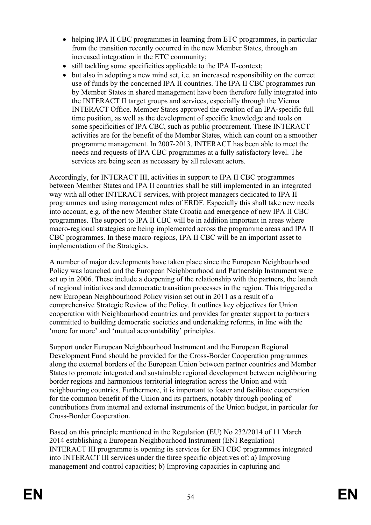- helping IPA II CBC programmes in learning from ETC programmes, in particular from the transition recently occurred in the new Member States, through an increased integration in the ETC community;
- still tackling some specificities applicable to the IPA II-context;
- but also in adopting a new mind set, i.e. an increased responsibility on the correct use of funds by the concerned IPA II countries. The IPA II CBC programmes run by Member States in shared management have been therefore fully integrated into the INTERACT II target groups and services, especially through the Vienna INTERACT Office. Member States approved the creation of an IPA-specific full time position, as well as the development of specific knowledge and tools on some specificities of IPA CBC, such as public procurement. These INTERACT activities are for the benefit of the Member States, which can count on a smoother programme management. In 2007-2013, INTERACT has been able to meet the needs and requests of IPA CBC programmes at a fully satisfactory level. The services are being seen as necessary by all relevant actors.

Accordingly, for INTERACT III, activities in support to IPA II CBC programmes between Member States and IPA II countries shall be still implemented in an integrated way with all other INTERACT services, with project managers dedicated to IPA II programmes and using management rules of ERDF. Especially this shall take new needs into account, e.g. of the new Member State Croatia and emergence of new IPA II CBC programmes. The support to IPA II CBC will be in addition important in areas where macro-regional strategies are being implemented across the programme areas and IPA II CBC programmes. In these macro-regions, IPA II CBC will be an important asset to implementation of the Strategies.

A number of major developments have taken place since the European Neighbourhood Policy was launched and the European Neighbourhood and Partnership Instrument were set up in 2006. These include a deepening of the relationship with the partners, the launch of regional initiatives and democratic transition processes in the region. This triggered a new European Neighbourhood Policy vision set out in 2011 as a result of a comprehensive Strategic Review of the Policy. It outlines key objectives for Union cooperation with Neighbourhood countries and provides for greater support to partners committed to building democratic societies and undertaking reforms, in line with the 'more for more' and 'mutual accountability' principles.

Support under European Neighbourhood Instrument and the European Regional Development Fund should be provided for the Cross-Border Cooperation programmes along the external borders of the European Union between partner countries and Member States to promote integrated and sustainable regional development between neighbouring border regions and harmonious territorial integration across the Union and with neighbouring countries. Furthermore, it is important to foster and facilitate cooperation for the common benefit of the Union and its partners, notably through pooling of contributions from internal and external instruments of the Union budget, in particular for Cross-Border Cooperation.

Based on this principle mentioned in the Regulation (EU) No 232/2014 of 11 March 2014 establishing a European Neighbourhood Instrument (ENI Regulation) INTERACT III programme is opening its services for ENI CBC programmes integrated into INTERACT III services under the three specific objectives of: a) Improving management and control capacities; b) Improving capacities in capturing and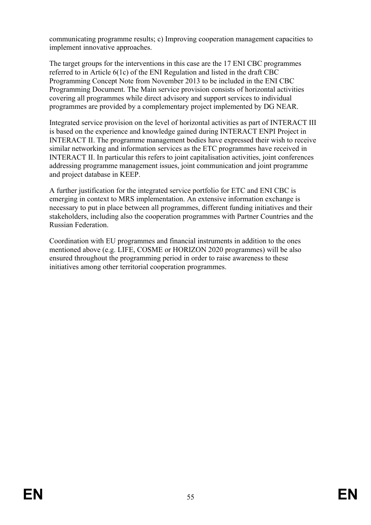communicating programme results; c) Improving cooperation management capacities to implement innovative approaches.

The target groups for the interventions in this case are the 17 ENI CBC programmes referred to in Article 6(1c) of the ENI Regulation and listed in the draft CBC Programming Concept Note from November 2013 to be included in the ENI CBC Programming Document. The Main service provision consists of horizontal activities covering all programmes while direct advisory and support services to individual programmes are provided by a complementary project implemented by DG NEAR.

Integrated service provision on the level of horizontal activities as part of INTERACT III is based on the experience and knowledge gained during INTERACT ENPI Project in INTERACT II. The programme management bodies have expressed their wish to receive similar networking and information services as the ETC programmes have received in INTERACT II. In particular this refers to joint capitalisation activities, joint conferences addressing programme management issues, joint communication and joint programme and project database in KEEP.

A further justification for the integrated service portfolio for ETC and ENI CBC is emerging in context to MRS implementation. An extensive information exchange is necessary to put in place between all programmes, different funding initiatives and their stakeholders, including also the cooperation programmes with Partner Countries and the Russian Federation.

Coordination with EU programmes and financial instruments in addition to the ones mentioned above (e.g. LIFE, COSME or HORIZON 2020 programmes) will be also ensured throughout the programming period in order to raise awareness to these initiatives among other territorial cooperation programmes.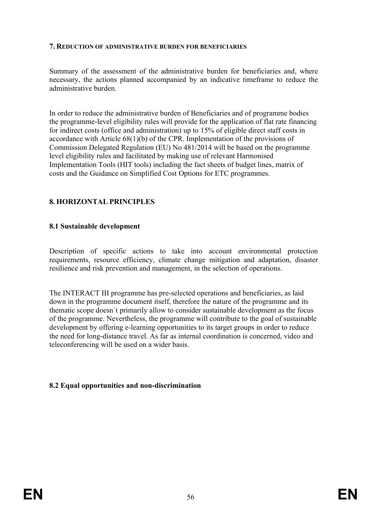#### **7. REDUCTION OF ADMINISTRATIVE BURDEN FOR BENEFICIARIES**

Summary of the assessment of the administrative burden for beneficiaries and, where necessary, the actions planned accompanied by an indicative timeframe to reduce the administrative burden.

In order to reduce the administrative burden of Beneficiaries and of programme bodies the programme-level eligibility rules will provide for the application of flat rate financing for indirect costs (office and administration) up to 15% of eligible direct staff costs in accordance with Article 68(1)(b) of the CPR. Implementation of the provisions of Commission Delegated Regulation (EU) No 481/2014 will be based on the programme level eligibility rules and facilitated by making use of relevant Harmonised Implementation Tools (HIT tools) including the fact sheets of budget lines, matrix of costs and the Guidance on Simplified Cost Options for ETC programmes.

### **8. HORIZONTAL PRINCIPLES**

#### **8.1 Sustainable development**

Description of specific actions to take into account environmental protection requirements, resource efficiency, climate change mitigation and adaptation, disaster resilience and risk prevention and management, in the selection of operations.

The INTERACT III programme has pre-selected operations and beneficiaries, as laid down in the programme document itself, therefore the nature of the programme and its thematic scope doesn´t primarily allow to consider sustainable development as the focus of the programme. Nevertheless, the programme will contribute to the goal of sustainable development by offering e-learning opportunities to its target groups in order to reduce the need for long-distance travel. As far as internal coordination is concerned, video and teleconferencing will be used on a wider basis.

### **8.2 Equal opportunities and non-discrimination**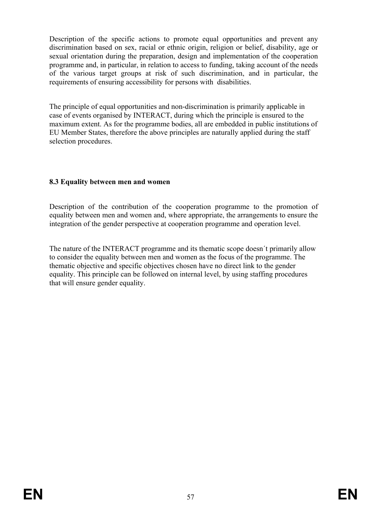Description of the specific actions to promote equal opportunities and prevent any discrimination based on sex, racial or ethnic origin, religion or belief, disability, age or sexual orientation during the preparation, design and implementation of the cooperation programme and, in particular, in relation to access to funding, taking account of the needs of the various target groups at risk of such discrimination, and in particular, the requirements of ensuring accessibility for persons with disabilities.

The principle of equal opportunities and non-discrimination is primarily applicable in case of events organised by INTERACT, during which the principle is ensured to the maximum extent. As for the programme bodies, all are embedded in public institutions of EU Member States, therefore the above principles are naturally applied during the staff selection procedures.

### **8.3 Equality between men and women**

Description of the contribution of the cooperation programme to the promotion of equality between men and women and, where appropriate, the arrangements to ensure the integration of the gender perspective at cooperation programme and operation level.

The nature of the INTERACT programme and its thematic scope doesn´t primarily allow to consider the equality between men and women as the focus of the programme. The thematic objective and specific objectives chosen have no direct link to the gender equality. This principle can be followed on internal level, by using staffing procedures that will ensure gender equality.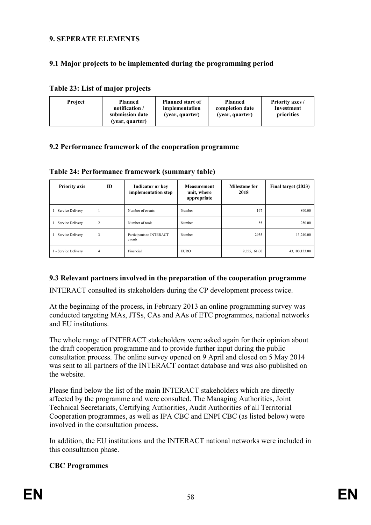### **9. SEPERATE ELEMENTS**

### **9.1 Major projects to be implemented during the programming period**

| Table 23: List of major projects |  |
|----------------------------------|--|
|----------------------------------|--|

| <b>Project</b> | Planned<br>notification /<br>submission date<br>(year, quarter) | <b>Planned start of</b><br><b>Planned</b><br>completion date<br>implementation<br>(year, quarter)<br>(year, quarter) | <b>Priority axes /</b><br>Investment<br>priorities |
|----------------|-----------------------------------------------------------------|----------------------------------------------------------------------------------------------------------------------|----------------------------------------------------|
|----------------|-----------------------------------------------------------------|----------------------------------------------------------------------------------------------------------------------|----------------------------------------------------|

### **9.2 Performance framework of the cooperation programme**

| <b>Priority axis</b> | ID             | <b>Indicator or key</b><br><b>Measurement</b><br>implementation step<br>unit, where<br>appropriate |             | <b>Milestone for</b><br>2018 | Final target (2023) |
|----------------------|----------------|----------------------------------------------------------------------------------------------------|-------------|------------------------------|---------------------|
| 1 - Service Delivery |                | Number of events                                                                                   | Number      | 197                          | 890.00              |
| 1 - Service Delivery | $\overline{2}$ | Number of tools                                                                                    | Number      | 55                           | 250.00              |
| 1 - Service Delivery | 3              | Participants to INTERACT<br>events                                                                 | Number      | 2935                         | 13,240.00           |
| 1 - Service Delivery | 4              | Financial                                                                                          | <b>EURO</b> | 9,555,161.00                 | 43,100,133.00       |

#### **Table 24: Performance framework (summary table)**

### **9.3 Relevant partners involved in the preparation of the cooperation programme**

INTERACT consulted its stakeholders during the CP development process twice.

At the beginning of the process, in February 2013 an online programming survey was conducted targeting MAs, JTSs, CAs and AAs of ETC programmes, national networks and EU institutions.

The whole range of INTERACT stakeholders were asked again for their opinion about the draft cooperation programme and to provide further input during the public consultation process. The online survey opened on 9 April and closed on 5 May 2014 was sent to all partners of the INTERACT contact database and was also published on the website.

Please find below the list of the main INTERACT stakeholders which are directly affected by the programme and were consulted. The Managing Authorities, Joint Technical Secretariats, Certifying Authorities, Audit Authorities of all Territorial Cooperation programmes, as well as IPA CBC and ENPI CBC (as listed below) were involved in the consultation process.

In addition, the EU institutions and the INTERACT national networks were included in this consultation phase.

### **CBC Programmes**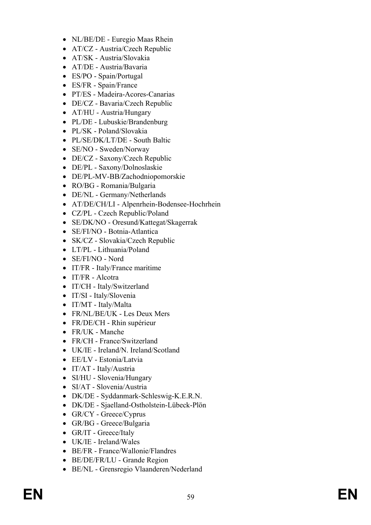- 
- 
- 
- 
- 
- 
- 
- 
- 
- 
- 
- 
- 
- 
- 
- 
- 
- 
- N Miricine, Foucaulto Continentalista<br>
A ATCZ Andria Cooli Republic<br>
A ATCZ Andria Cooli Republic<br>
A NAME A contraction<br>
A NAME A contract descriptions of the state of the state PTER State<br>
PTER Madella-Accord-Can
	-
	-
	-
	-
	-
	-
	-
	-
	-
	-
	-
	-
	-
	-
	-
	-
	-
	-
	-
	-
	-
	-
	-
	-
	-
	-
	-
	-
	-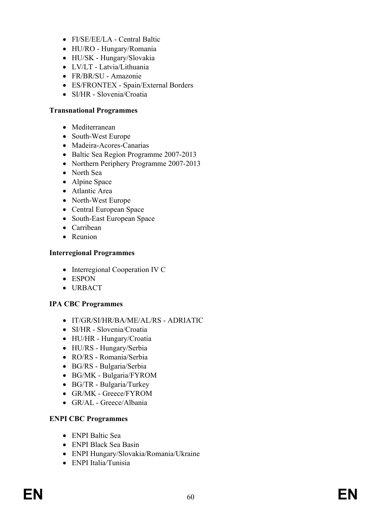- FI/SE/EE/LA Central Baltic
- HU/RO Hungary/Romania
- HU/SK Hungary/Slovakia
- LV/LT Latvia/Lithuania
- FR/BR/SU Amazonie
- ES/FRONTEX Spain/External Borders
- SI/HR Slovenia/Croatia

### **Transnational Programmes**

- Mediterranean
- South-West Europe
- Madeira-Acores-Canarias
- Baltic Sea Region Programme 2007-2013
- Northern Periphery Programme 2007-2013
- North Sea
- Alpine Space
- Atlantic Area
- North-West Europe
- Central European Space
- South-East European Space
- Carribean
- Reunion

### **Interregional Programmes**

- Interregional Cooperation IV C
- ESPON
- URBACT

# **IPA CBC Programmes**

- IT/GR/SI/HR/BA/ME/AL/RS ADRIATIC
- SI/HR Slovenia/Croatia
- HU/HR Hungary/Croatia
- HU/RS Hungary/Serbia
- RO/RS Romania/Serbia
- BG/RS Bulgaria/Serbia
- BG/MK Bulgaria/FYROM
- BG/TR Bulgaria/Turkey
- GR/MK Greece/FYROM
- GR/AL Greece/Albania

### **ENPI CBC Programmes**

- ENPI Baltic Sea
- ENPI Black Sea Basin
- ENPI Hungary/Slovakia/Romania/Ukraine
- ENPI Italia/Tunisia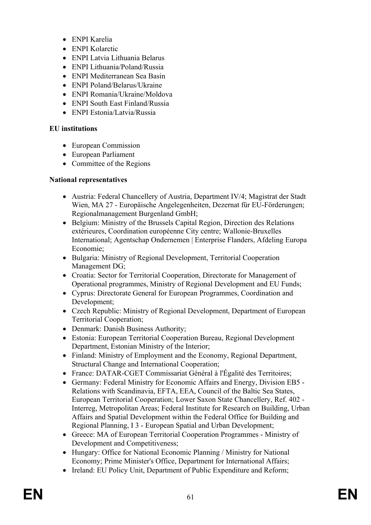- ENPI Karelia
- ENPI Kolarctic
- ENPI Latvia Lithuania Belarus
- ENPI Lithuania/Poland/Russia
- ENPI Mediterranean Sea Basin
- ENPI Poland/Belarus/Ukraine
- ENPI Romania/Ukraine/Moldova
- ENPI South East Finland/Russia
- ENPI Estonia/Latvia/Russia

### **EU institutions**

- European Commission
- European Parliament
- Committee of the Regions

### **National representatives**

- Austria: Federal Chancellery of Austria, Department IV/4; Magistrat der Stadt Wien, MA 27 - Europäische Angelegenheiten, Dezernat für EU-Förderungen; Regionalmanagement Burgenland GmbH;
- Belgium: Ministry of the Brussels Capital Region, Direction des Relations extérieures, Coordination européenne City centre; Wallonie-Bruxelles International; Agentschap Ondernemen | Enterprise Flanders, Afdeling Europa Economie;
- Bulgaria: Ministry of Regional Development, Territorial Cooperation Management DG;
- Croatia: Sector for Territorial Cooperation, Directorate for Management of Operational programmes, Ministry of Regional Development and EU Funds;
- Cyprus: Directorate General for European Programmes, Coordination and Development;
- Czech Republic: Ministry of Regional Development, Department of European Territorial Cooperation;
- Denmark: Danish Business Authority;
- Estonia: European Territorial Cooperation Bureau, Regional Development Department, Estonian Ministry of the Interior;
- Finland: Ministry of Employment and the Economy, Regional Department, Structural Change and International Cooperation;
- France: DATAR-CGET Commissariat Général à l'Égalité des Territoires;
- Germany: Federal Ministry for Economic Affairs and Energy, Division EB5 Relations with Scandinavia, EFTA, EEA, Council of the Baltic Sea States, European Territorial Cooperation; Lower Saxon State Chancellery, Ref. 402 - Interreg, Metropolitan Areas; Federal Institute for Research on Building, Urban Affairs and Spatial Development within the Federal Office for Building and Regional Planning, I 3 - European Spatial and Urban Development;
- Greece: MA of European Territorial Cooperation Programmes Ministry of Development and Competitiveness;
- Hungary: Office for National Economic Planning / Ministry for National Economy; Prime Minister's Office, Department for International Affairs;
- Ireland: EU Policy Unit, Department of Public Expenditure and Reform;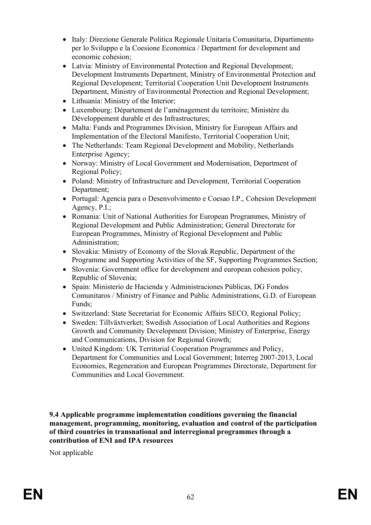- Italy: Direzione Generale Politica Regionale Unitaria Comunitaria, Dipartimento per lo Sviluppo e la Coesione Economica / Department for development and economic cohesion;
- Latvia: Ministry of Environmental Protection and Regional Development; Development Instruments Department, Ministry of Environmental Protection and Regional Development; Territorial Cooperation Unit Development Instruments Department, Ministry of Environmental Protection and Regional Development;
- Lithuania: Ministry of the Interior;
- Luxembourg: Département de l'aménagement du territoire; Ministère du Développement durable et des Infrastructures;
- Malta: Funds and Programmes Division, Ministry for European Affairs and Implementation of the Electoral Manifesto, Territorial Cooperation Unit;
- The Netherlands: Team Regional Development and Mobility, Netherlands Enterprise Agency;
- Norway: Ministry of Local Government and Modernisation, Department of Regional Policy;
- Poland: Ministry of Infrastructure and Development, Territorial Cooperation Department;
- Portugal: Agencia para o Desenvolvimento e Coesao I.P., Cohesion Development Agency, P.I.;
- Romania: Unit of National Authorities for European Programmes, Ministry of Regional Development and Public Administration; General Directorate for European Programmes, Ministry of Regional Development and Public Administration;
- Slovakia: Ministry of Economy of the Slovak Republic, Department of the Programme and Supporting Activities of the SF, Supporting Programmes Section;
- Slovenia: Government office for development and european cohesion policy, Republic of Slovenia;
- Spain: Ministerio de Hacienda y Administraciones Públicas, DG Fondos Comunitaros / Ministry of Finance and Public Administrations, G.D. of European Funds;
- Switzerland: State Secretariat for Economic Affairs SECO, Regional Policy;
- Sweden: Tillväxtverket; Swedish Association of Local Authorities and Regions Growth and Community Development Division; Ministry of Enterprise, Energy and Communications, Division for Regional Growth;
- United Kingdom: UK Territorial Cooperation Programmes and Policy, Department for Communities and Local Government; Interreg 2007-2013, Local Economies, Regeneration and European Programmes Directorate, Department for Communities and Local Government.

**9.4 Applicable programme implementation conditions governing the financial management, programming, monitoring, evaluation and control of the participation of third countries in transnational and interregional programmes through a contribution of ENI and IPA resources**

Not applicable